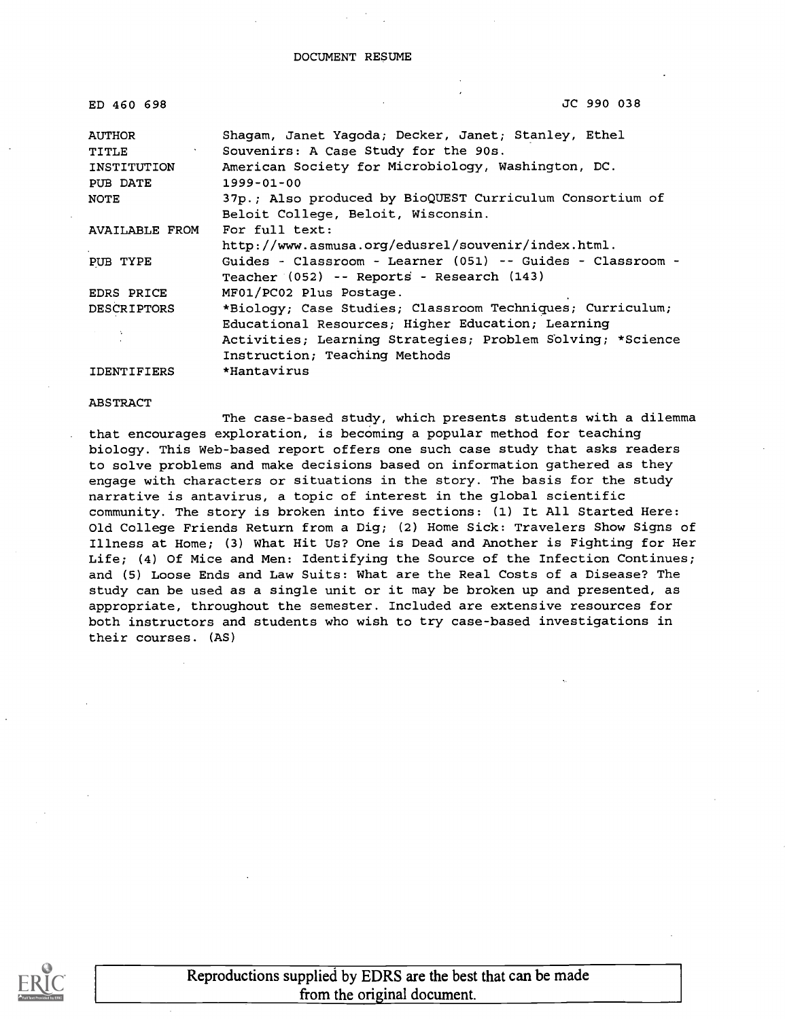| ED 460 698            | JC 990 038                                                 |
|-----------------------|------------------------------------------------------------|
| <b>AUTHOR</b>         | Shagam, Janet Yagoda; Decker, Janet; Stanley, Ethel        |
| TITLE                 | Souvenirs: A Case Study for the 90s.                       |
| INSTITUTION           | American Society for Microbiology, Washington, DC.         |
| PUB DATE              | $1999 - 01 - 00$                                           |
| NOTE                  | 37p.; Also produced by BioQUEST Curriculum Consortium of   |
|                       | Beloit College, Beloit, Wisconsin.                         |
| <b>AVAILABLE FROM</b> | For full text:                                             |
|                       | http://www.asmusa.org/edusrel/souvenir/index.html.         |
| PUB TYPE              | Guides - Classroom - Learner (051) -- Guides - Classroom - |
|                       | Teacher (052) -- Reports - Research (143)                  |
| EDRS PRICE            | MF01/PC02 Plus Postage.                                    |
| <b>DESCRIPTORS</b>    | *Biology; Case Studies; Classroom Techniques; Curriculum;  |
|                       | Educational Resources; Higher Education; Learning          |
|                       | Activities; Learning Strategies; Problem Solving; *Science |
|                       | Instruction; Teaching Methods                              |
| <b>IDENTIFIERS</b>    | *Hantavirus                                                |

#### ABSTRACT

The case-based study, which presents students with a dilemma that encourages exploration, is becoming a popular method for teaching biology. This Web-based report offers one such case study that asks readers to solve problems and make decisions based on information gathered as they engage with characters or situations in the story. The basis for the study narrative is antavirus, a topic of interest in the global scientific community. The story is broken into five sections: (1) It All Started Here: Old College Friends Return from a Dig; (2) Home Sick: Travelers Show Signs of Illness at Home; (3) What Hit Us? One is Dead and Another is Fighting for Her Life; (4) Of Mice and Men: Identifying the Source of the Infection Continues; and (5) Loose Ends and Law Suits: What are the Real Costs of a Disease? The study can be used as a single unit or it may be broken up and presented, as appropriate, throughout the semester. Included are extensive resources for both instructors and students who wish to try case-based investigations in their courses. (AS)



Reproductions supplied by EDRS are the best that can be made from the original document.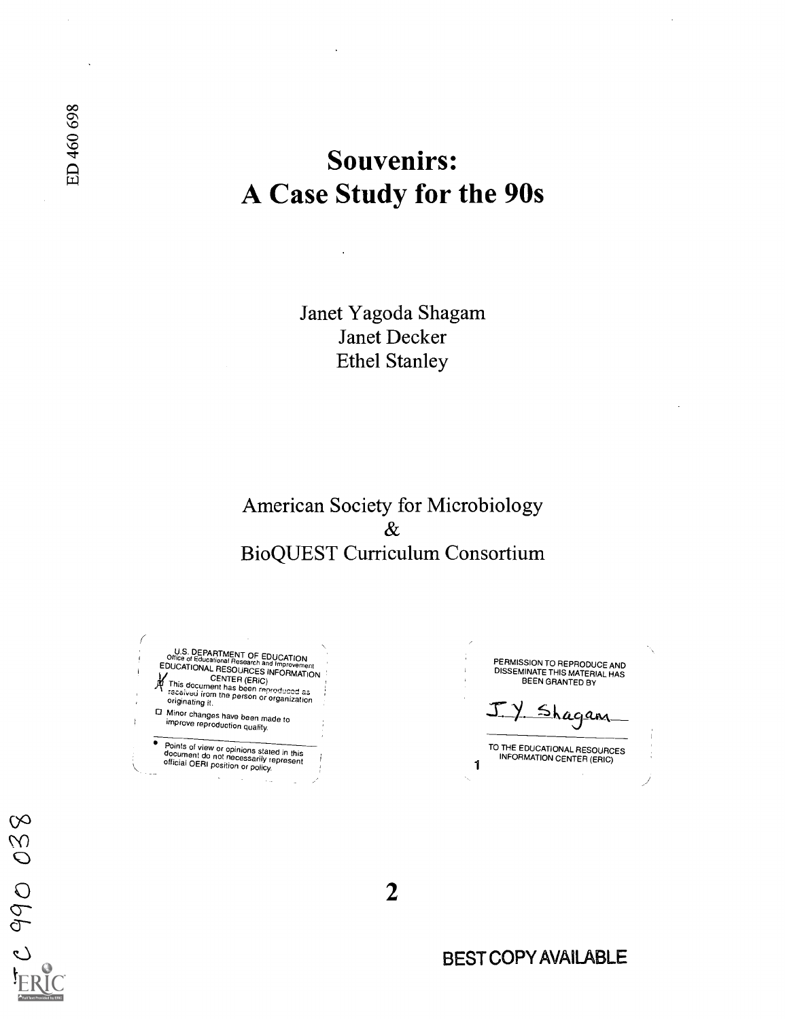# Souvenirs: A Case Study for the 90s

Janet Yagoda Shagam Janet Decker Ethel Stanley

American Society for Microbiology<br>& BioQUEST Curriculum Consortium

U.S. DEPARTMENT OF EDUCATION<br>EDUCATIONAL RESOURCES INFORMATION<br>RESOURCES INFORMATION<br>This document has been reproduced as<br>received irom the person or organization<br>originating it. 0 Minor changes have been made to improve reproduction quality.

Points of view or opinions stated in this document do not necessarily represent official OERI position or policy.

PERMISSION TO REPRODUCE AND DISSEMINATE THIS MATERIAL HAS BEEN GRANTED BY

Shagam

TO THE EDUCATIONAL RESOURCES **INFORMATION CENTER (ERIC)** 

2

BEST COPY AVAILABLE

038

 $c$  990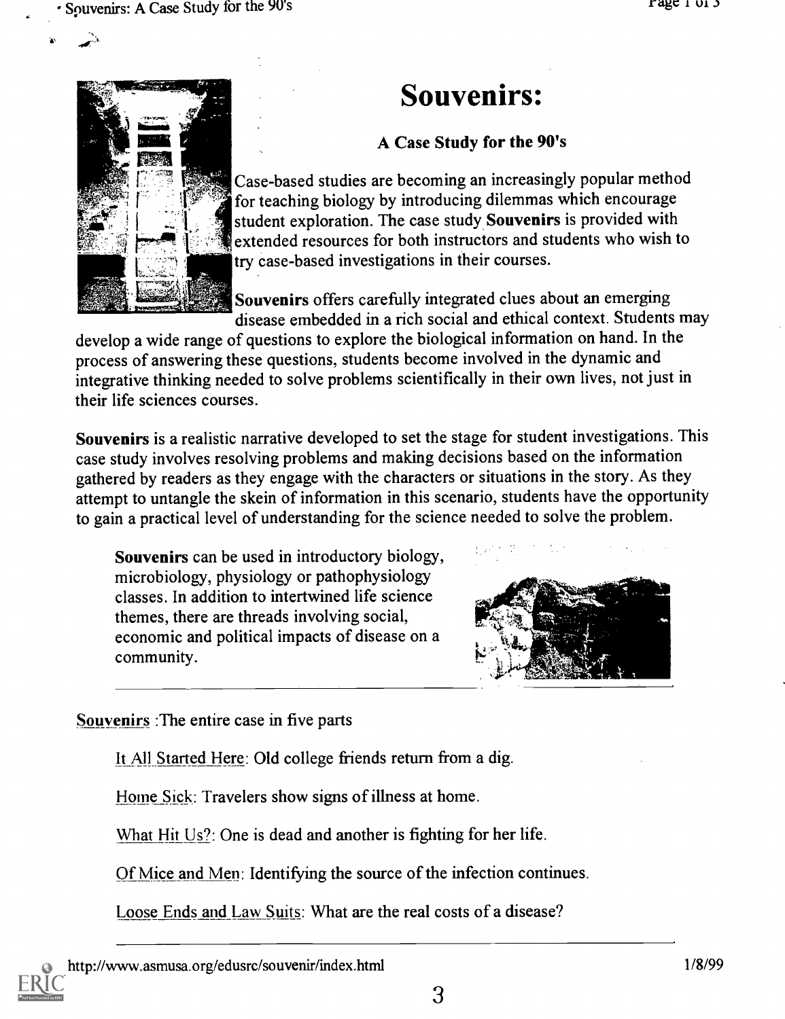

# Souvenirs:

### A Case Study for the 90's

Case-based studies are becoming an increasingly popular method for teaching biology by introducing dilemmas which encourage student exploration. The case study Souvenirs is provided with extended resources for both instructors and students who wish to try case-based investigations in their courses.

Souvenirs offers carefully integrated clues about an emerging disease embedded in a rich social and ethical context. Students may

develop a wide range of questions to explore the biological information on hand. In the process of answering these questions, students become involved in the dynamic and integrative thinking needed to solve problems scientifically in their own lives, not just in their life sciences courses.

Souvenirs is a realistic narrative developed to set the stage for student investigations. This case study involves resolving problems and making decisions based on the information gathered by readers as they engage with the characters or situations in the story. As they attempt to untangle the skein of information in this scenario, students have the opportunity to gain a practical level of understanding for the science needed to solve the problem.

Souvenirs can be used in introductory biology, microbiology, physiology or pathophysiology classes. In addition to intertwined life science themes, there are threads involving social, economic and political impacts of disease on a community.



Souvenirs :The entire case in five parts

It All Started Here: Old college friends return from a dig.

Home Sick: Travelers show signs of illness at home.

What Hit Us?: One is dead and another is fighting for her life.

Of Mice and Men: Identifying the source of the infection continues.

Loose Ends and Law Suits: What are the real costs of a disease?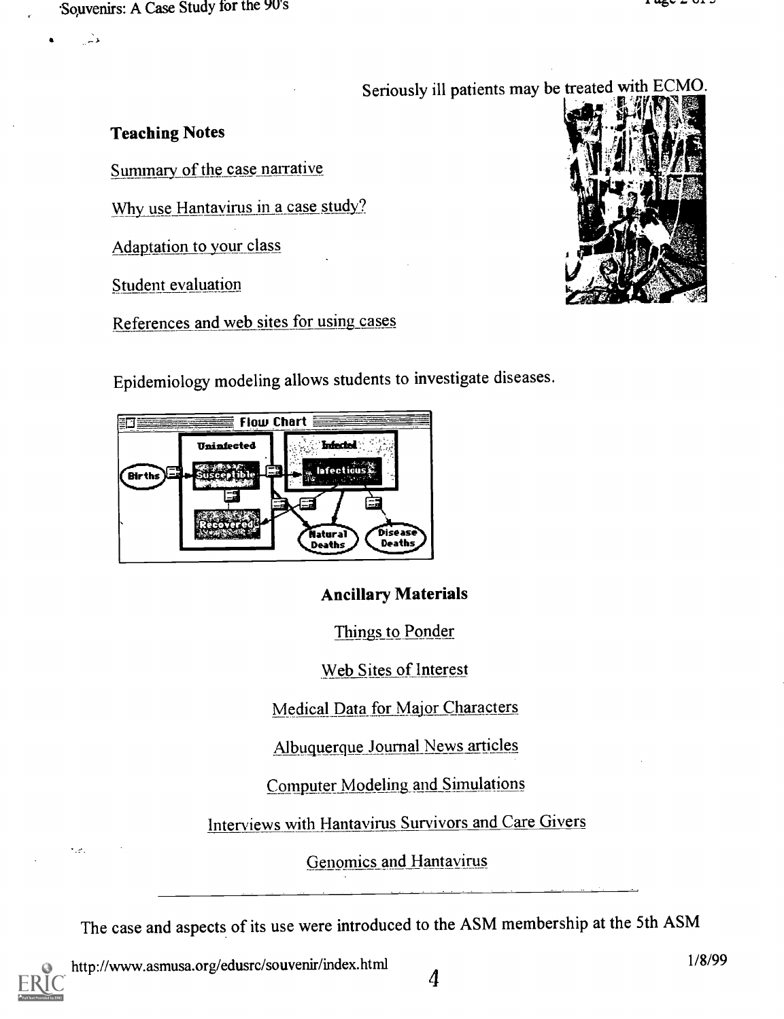So uvenirs: A Case Study for the 90's  $\frac{1}{4}$  and  $\frac{1}{4}$  and  $\frac{1}{4}$  and  $\frac{1}{4}$  and  $\frac{1}{4}$  and  $\frac{1}{4}$  and  $\frac{1}{4}$  and  $\frac{1}{4}$  and  $\frac{1}{4}$  and  $\frac{1}{4}$  and  $\frac{1}{4}$  and  $\frac{1}{4}$  and  $\frac{1}{4}$  and

لائے

Seriously ill patients may be treated with ECMO.

Teaching Notes

Summary of the case narrative

Why use Hantavirus in a case study?

Adaptation to your class

Student evaluation

References and web sites for using cases



Epidemiology modeling allows students to investigate diseases.



### Ancillary Materials

Things to Ponder

Web Sites of Interest

Medical Data for Major Characters

Albuquerque Journal News articles

Computer Modeling\_and Simulations

Interviews with Hantavirus Survivors and Care Givers

Genomics and Hantavirus

The case and aspects of its use were introduced to the ASM membership at the 5th ASM



 $\mathcal{L}_{\mathcal{A}}$ 

http://www.asmusa.org/edusrc/souvenir/index.html 1/8/99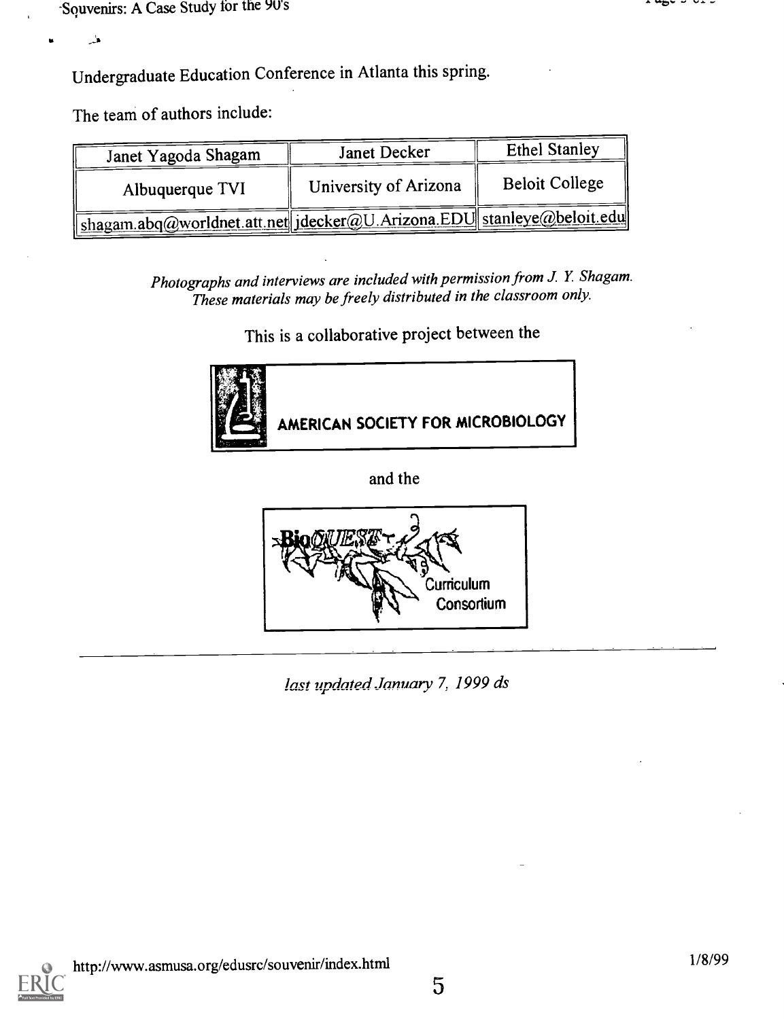فلمر

Undergraduate Education Conference in Atlanta this spring.

The team of authors include:

| Janet Yagoda Shagam                                                                                            | Janet Decker          | <b>Ethel Stanley</b>  |
|----------------------------------------------------------------------------------------------------------------|-----------------------|-----------------------|
| Albuquerque TVI                                                                                                | University of Arizona | <b>Beloit College</b> |
| $\ \text{shagam}.\text{abq@worldnet}.\text{att.net}\ _1$ decker@U.Arizona.EDU $\ \text{stanleye@beloit.edu}\ $ |                       |                       |

Photographs and interviews are included with permission from J. Y. Shagam. These materials may be freely distributed in the classroom only.

This is a collaborative project between the



and the



last updated January 7, 1999 ds

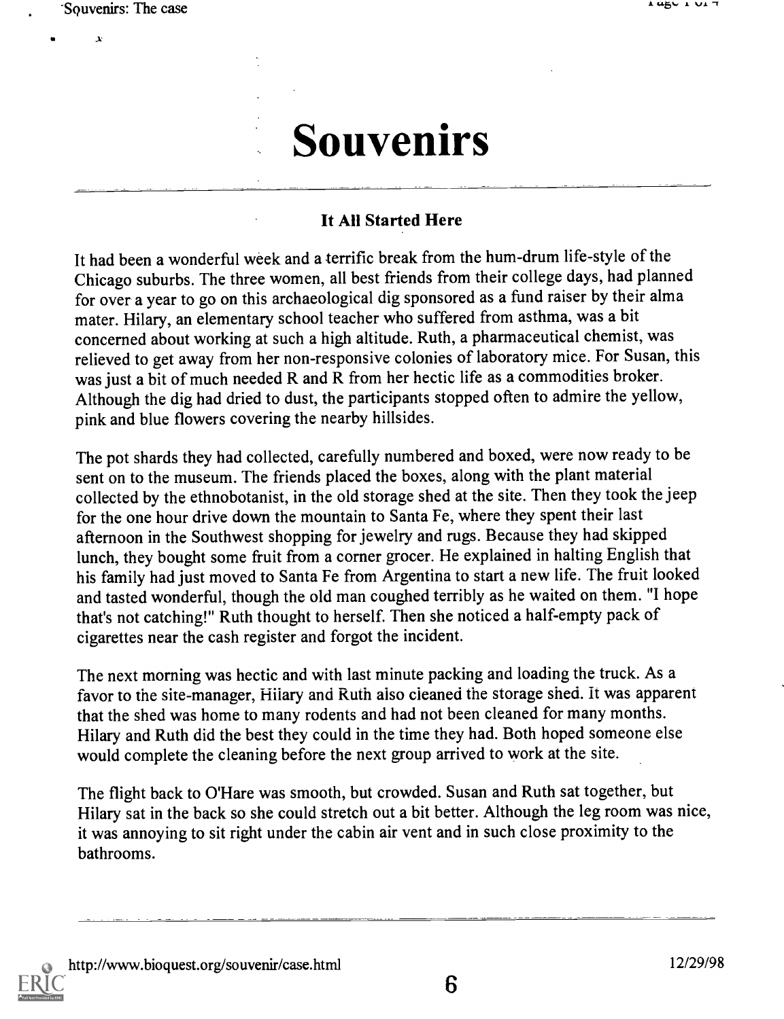$\mathbf{v}$ 

# Souvenirs

# It All Started Here

It had been a wonderful week and a terrific break from the hum-drum life-style of the Chicago suburbs. The three women, all best friends from their college days, had planned for over a year to go on this archaeological dig sponsored as a fund raiser by their alma mater. Hilary, an elementary school teacher who suffered from asthma, was a bit concerned about working at such a high altitude. Ruth, a pharmaceutical chemist, was relieved to get away from her non-responsive colonies of laboratory mice. For Susan, this was just a bit of much needed R and R from her hectic life as a commodities broker. Although the dig had dried to dust, the participants stopped often to admire the yellow, pink and blue flowers covering the nearby hillsides.

The pot shards they had collected, carefully numbered and boxed, were now ready to be sent on to the museum. The friends placed the boxes, along with the plant material collected by the ethnobotanist, in the old storage shed at the site. Then they took the jeep for the one hour drive down the mountain to Santa Fe, where they spent their last afternoon in the Southwest shopping for jewelry and rugs. Because they had skipped lunch, they bought some fruit from a corner grocer. He explained in halting English that his family had just moved to Santa Fe from Argentina to start a new life. The fruit looked and tasted wonderful, though the old man coughed terribly as he waited on them. "I hope that's not catching!" Ruth thought to herself. Then she noticed a half-empty pack of cigarettes near the cash register and forgot the incident.

The next morning was hectic and with last minute packing and loading the truck. As a favor to the site-manager, Hilary and Ruth aiso cieaned the storage shed. It was apparent that the shed was home to many rodents and had not been cleaned for many months. Hilary and Ruth did the best they could in the time they had. Both hoped someone else would complete the cleaning before the next group arrived to work at the site.

The flight back to O'Hare was smooth, but crowded. Susan and Ruth sat together, but Hilary sat in the back so she could stretch out a bit better. Although the leg room was nice, it was annoying to sit right under the cabin air vent and in such close proximity to the bathrooms.

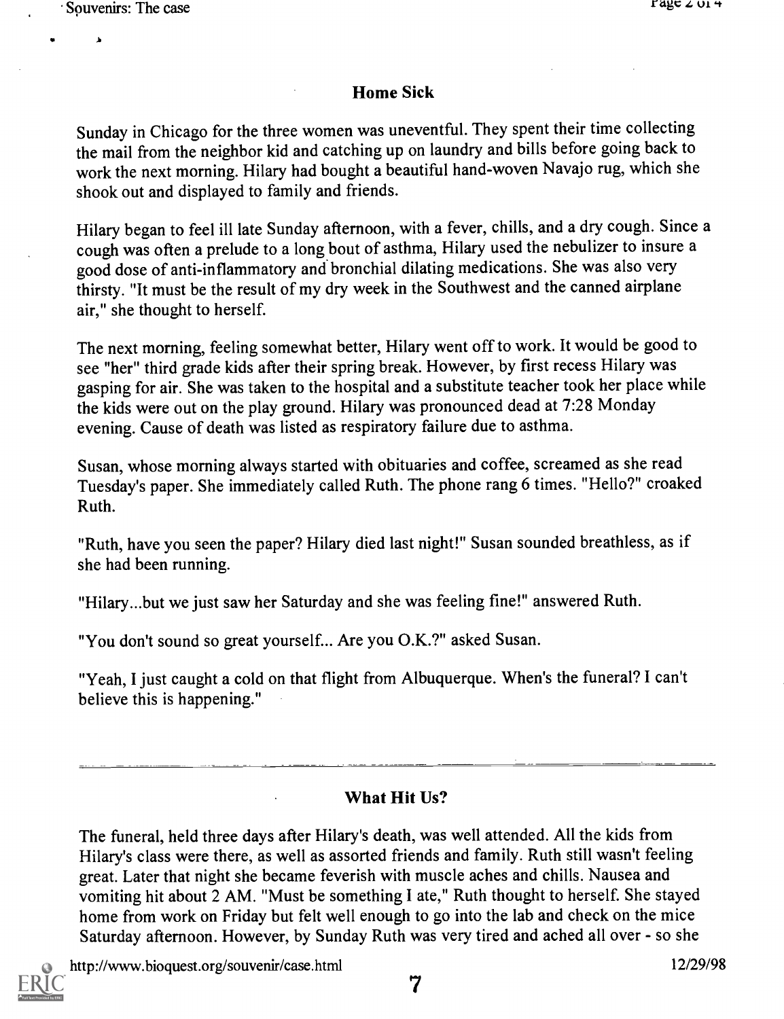### Home Sick

Sunday in Chicago for the three women was uneventful. They spent their time collecting the mail from the neighbor kid and catching up on laundry and bills before going back to work the next morning. Hilary had bought a beautiful hand-woven Navajo rug, which she shook out and displayed to family and friends.

Hilary began to feel ill late Sunday afternoon, with a fever, chills, and a dry cough. Since a cough was often a prelude to a long bout of asthma, Hilary used the nebulizer to insure a good dose of anti-inflammatory and bronchial dilating medications. She was also very thirsty. "It must be the result of my dry week in the Southwest and the canned airplane air," she thought to herself.

The next morning, feeling somewhat better, Hilary went off to work. It would be good to see "her" third grade kids after their spring break. However, by first recess Hilary was gasping for air. She was taken to the hospital and a substitute teacher took her place while the kids were out on the play ground. Hilary was pronounced dead at 7:28 Monday evening. Cause of death was listed as respiratory failure due to asthma.

Susan, whose morning always started with obituaries and coffee, screamed as she read Tuesday's paper. She immediately called Ruth. The phone rang 6 times. "Hello?" croaked Ruth.

"Ruth, have you seen the paper? Hilary died last night!" Susan sounded breathless, as if she had been running.

"Hilary...but we just saw her Saturday and she was feeling fine!" answered Ruth.

"You don't sound so great yourself... Are you O.K.?" asked Susan.

"Yeah, I just caught a cold on that flight from Albuquerque. When's the funeral? I can't believe this is happening."

### What Hit Us?

The funeral, held three days after Hilary's death, was well attended. All the kids from Hilary's class were there, as well as assorted friends and family. Ruth still wasn't feeling great. Later that night she became feverish with muscle aches and chills. Nausea and vomiting hit about 2 AM. "Must be something I ate," Ruth thought to herself. She stayed home from work on Friday but felt well enough to go into the lab and check on the mice Saturday afternoon. However, by Sunday Ruth was very tired and ached all over - so she

http://www.bioquest.org/souvenir/case.html 12/29/98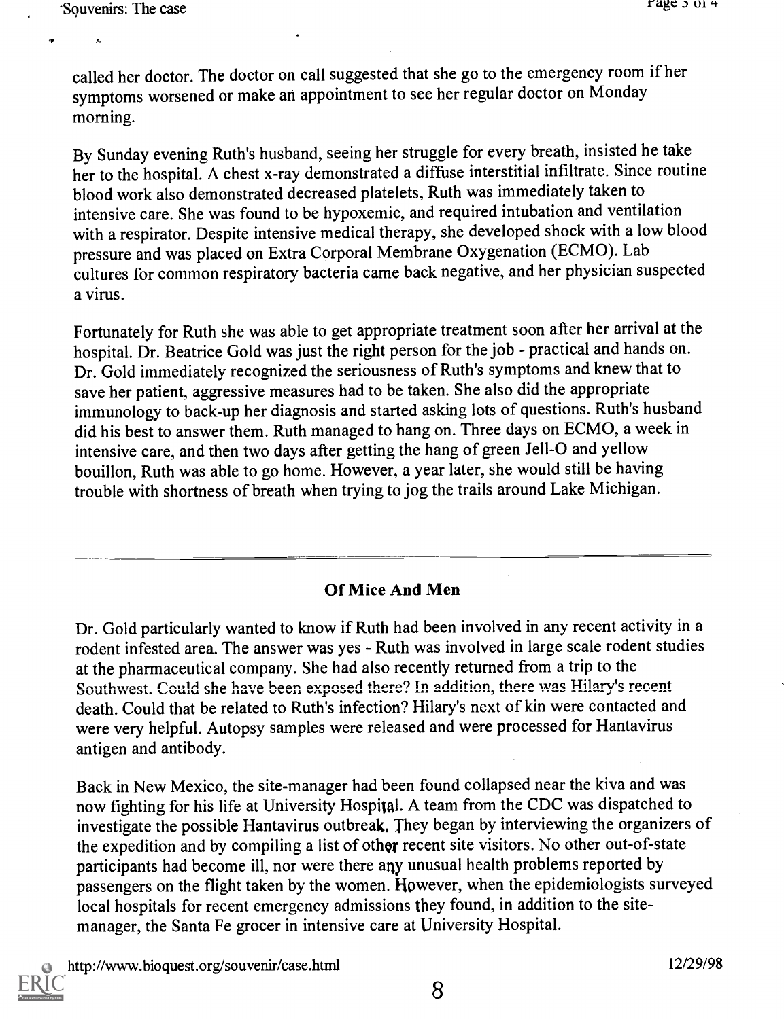called her doctor. The doctor on call suggested that she go to the emergency room if her symptoms worsened or make an appointment to see her regular doctor on Monday morning.

By Sunday evening Ruth's husband, seeing her struggle for every breath, insisted he take her to the hospital. A chest x-ray demonstrated a diffuse interstitial infiltrate. Since routine blood work also demonstrated decreased platelets, Ruth was immediately taken to intensive care. She was found to be hypoxemic, and required intubation and ventilation with a respirator. Despite intensive medical therapy, she developed shock with a low blood pressure and was placed on Extra Corporal Membrane Oxygenation (ECMO). Lab cultures for common respiratory bacteria came back negative, and her physician suspected a virus.

Fortunately for Ruth she was able to get appropriate treatment soon after her arrival at the hospital. Dr. Beatrice Gold was just the right person for the job - practical and hands on. Dr. Gold immediately recognized the seriousness of Ruth's symptoms and knew that to save her patient, aggressive measures had to be taken. She also did the appropriate immunology to back-up her diagnosis and started asking lots of questions. Ruth's husband did his best to answer them. Ruth managed to hang on. Three days on ECMO, a week in intensive care, and then two days after getting the hang of green Jell-O and yellow bouillon, Ruth was able to go home. However, a year later, she would still be having trouble with shortness of breath when trying to jog the trails around Lake Michigan.

### Of Mice And Men

Dr. Gold particularly wanted to know if Ruth had been involved in any recent activity in a rodent infested area. The answer was yes - Ruth was involved in large scale rodent studies at the pharmaceutical company. She had also recently returned from a trip to the Southwest. Could she have been exposed there? In addition, there was Hilary's recent death. Could that be related to Ruth's infection? Hilary's next of kin were contacted and were very helpful. Autopsy samples were released and were processed for Hantavirus antigen and antibody.

Back in New Mexico, the site-manager had been found collapsed near the kiva and was now fighting for his life at University Hospital. A team from the CDC was dispatched to investigate the possible Hantavirus outbreak, They began by interviewing the organizers of the expedition and by compiling a list of other recent site visitors. No other out-of-state participants had become ill, nor were there any unusual health problems reported by passengers on the flight taken by the women. However, when the epidemiologists surveyed local hospitals for recent emergency admissions they found, in addition to the sitemanager, the Santa Fe grocer in intensive care at University Hospital.

http://www.bioquest.org/souvenir/case.html 12/29/98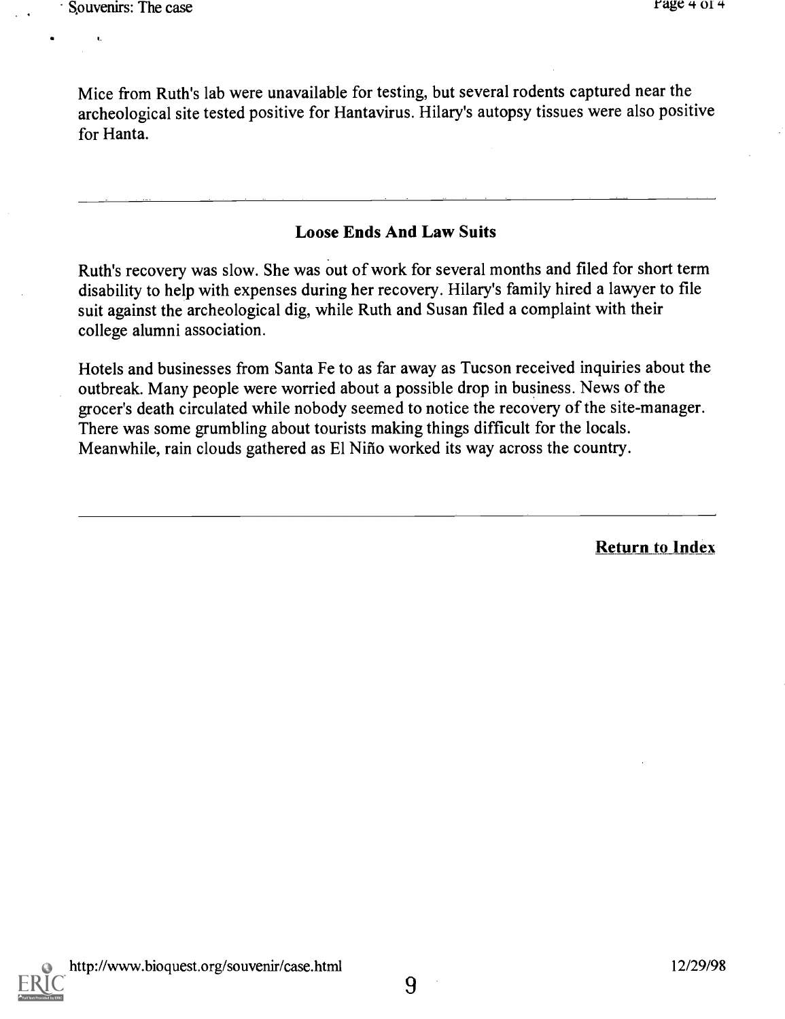Mice from Ruth's lab were unavailable for testing, but several rodents captured near the archeological site tested positive for Hantavirus. Hilary's autopsy tissues were also positive for Hanta.

### Loose Ends And Law Suits

Ruth's recovery was slow. She was out of work for several months and filed for short term disability to help with expenses during her recovery. Hilary's family hired a lawyer to file suit against the archeological dig, while Ruth and Susan filed a complaint with their college alumni association.

Hotels and businesses from Santa Fe to as far away as Tucson received inquiries about the outbreak. Many people were worried about a possible drop in business. News of the grocer's death circulated while nobody seemed to notice the recovery of the site-manager. There was some grumbling about tourists making things difficult for the locals. Meanwhile, rain clouds gathered as El Nifio worked its way across the country.

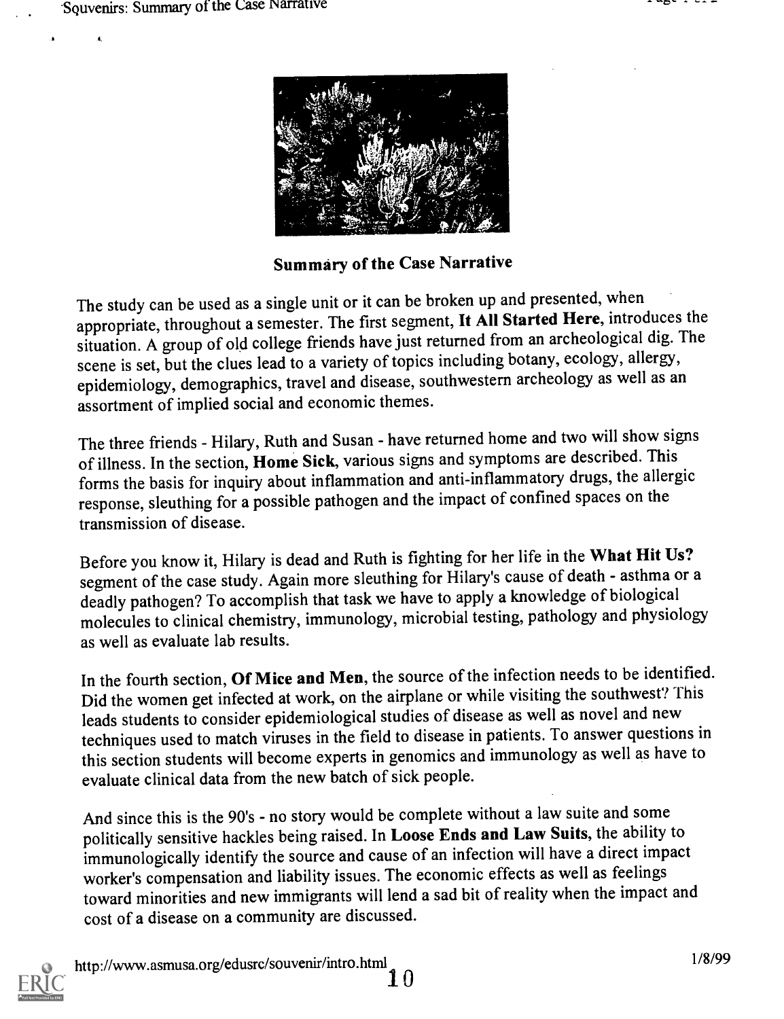

Summary of the Case Narrative

The study can be used as a single unit or it can be broken up and presented, when appropriate, throughout a semester. The first segment, It All Started Here, introduces the situation. A group of old college friends have just returned from an archeological dig. The scene is set, but the clues lead to a variety of topics including botany, ecology, allergy, epidemiology, demographics, travel and disease, southwestern archeology as well as an assortment of implied social and economic themes.

The three friends - Hilary, Ruth and Susan - have returned home and two will show signs of illness. In the section, Home Sick, various signs and symptoms are described. This forms the basis for inquiry about inflammation and anti-inflammatory drugs, the allergic response, sleuthing for a possible pathogen and the impact of confined spaces on the transmission of disease.

Before you know it, Hilary is dead and Ruth is fighting for her life in the What Hit Us? segment of the case study. Again more sleuthing for Hilary's cause of death - asthma or a deadly pathogen? To accomplish that task we have to apply a knowledge of biological molecules to clinical chemistry, immunology, microbial testing, pathology and physiology as well as evaluate lab results.

In the fourth section, Of Mice and Men, the source of the infection needs to be identified. Did the women get infected at work, on the airplane or while visiting the southwest? This leads students to consider epidemiological studies of disease as well as novel and new techniques used to match viruses in the field to disease in patients. To answer questions in this section students will become experts in genomics and immunology as well as have to evaluate clinical data from the new batch of sick people.

And since this is the 90's - no story would be complete without a law suite and some politically sensitive hackles being raised. In Loose Ends and Law Suits, the ability to immunologically identify the source and cause of an infection will have a direct impact worker's compensation and liability issues. The economic effects as well as feelings toward minorities and new immigrants will lend a sad bit of reality when the impact and cost of a disease on a community are discussed.

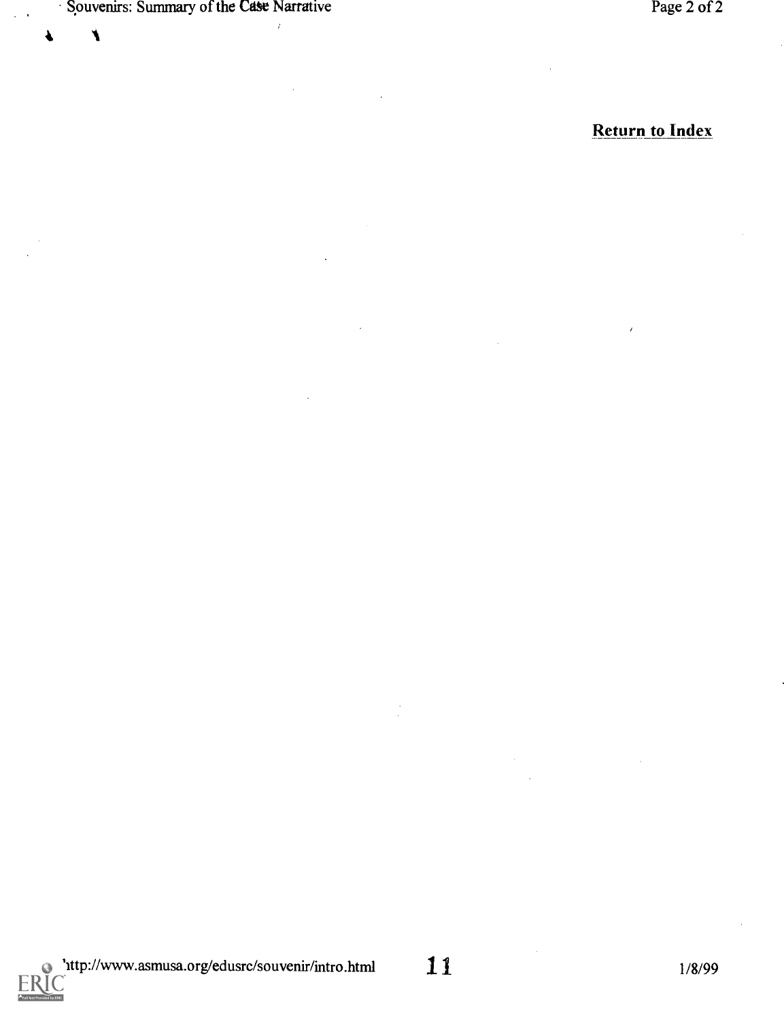$\hat{r}$ 

 $\sqrt{1}$ 

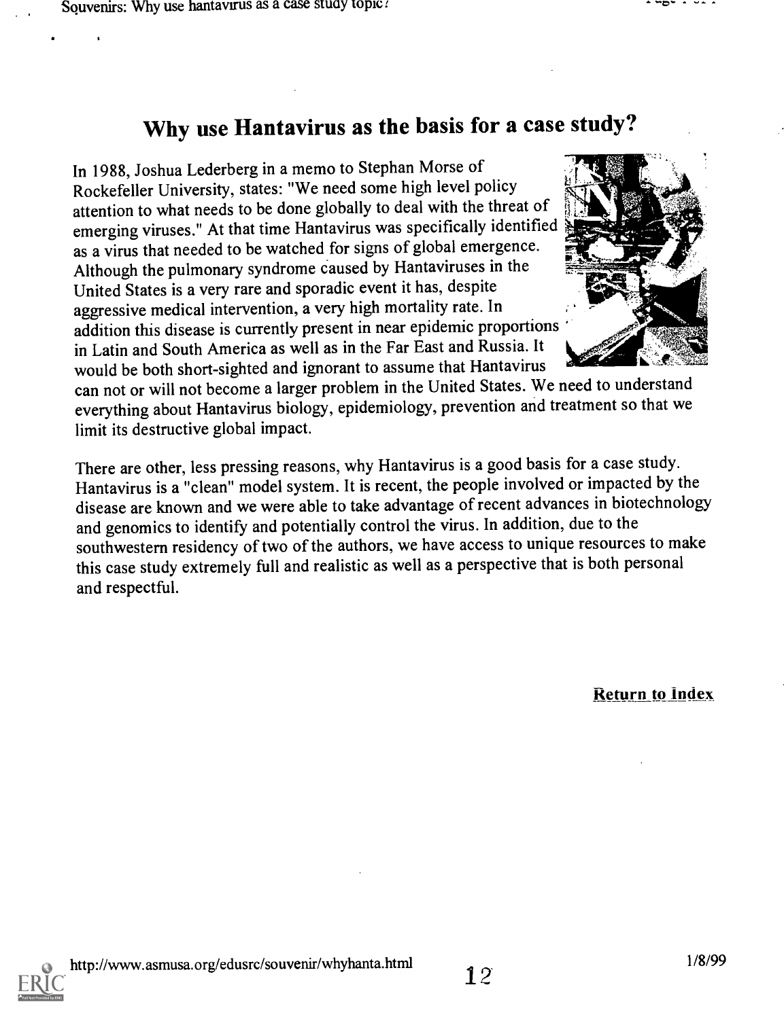# Why use Hantavirus as the basis for a case study?

In 1988, Joshua Lederberg in a memo to Stephan Morse of Rockefeller University, states: "We need some high level policy attention to what needs to be done globally to deal with the threat of emerging viruses." At that time Hantavirus was specifically identified as a virus that needed to be watched for signs of global emergence. Although the pulmonary syndrome Caused by Hantaviruses in the United States is a very rare and sporadic event it has, despite aggressive medical intervention, a very high mortality rate. In addition this disease is currently present in near epidemic proportions in Latin and South America as well as in the Far East and Russia. It would be both short-sighted and ignorant to assume that Hantavirus



can not or will not become a larger problem in the United States. We need to understand everything about Hantavirus biology, epidemiology, prevention and treatment so that we limit its destructive global impact.

There are other, less pressing reasons, why Hantavirus is a good basis for a case study. Hantavirus is a "clean" model system. It is recent, the people involved or impacted by the disease are known and we were able to take advantage of recent advances in biotechnology and genomics to identify and potentially control the virus. In addition, due to the southwestern residency of two of the authors, we have access to unique resources to make this case study extremely full and realistic as well as a perspective that is both personal and respectful.

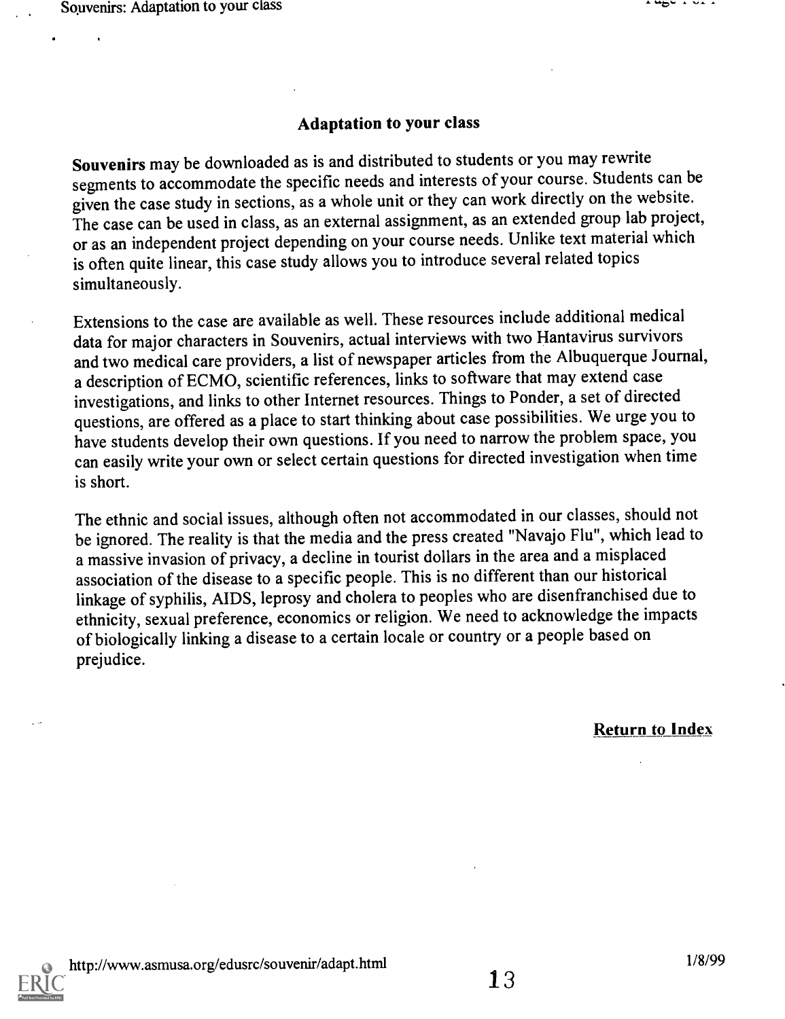#### Adaptation to your class

Souvenirs may be downloaded as is and distributed to students or you may rewrite segments to accommodate the specific needs and interests of your course. Students can be given the case study in sections, as a whole unit or they can work directly on the website. The case can be used in class, as an external assignment, as an extended group lab project, or as an independent project depending on your course needs. Unlike text material which is often quite linear, this case study allows you to introduce several related topics simultaneously.

Extensions to the case are available as well. These resources include additional medical data for major characters in Souvenirs, actual interviews with two Hantavirus survivors and two medical care providers, a list of newspaper articles from the Albuquerque Journal, a description of ECMO, scientific references, links to software that may extend case investigations, and links to other Internet resources. Things to Ponder, a set of directed questions, are offered as a place to start thinking about case possibilities. We urge you to have students develop their own questions. If you need to narrow the problem space, you can easily write your own or select certain questions for directed investigation when time is short.

The ethnic and social issues, although often not accommodated in our classes, should not be ignored. The reality is that the media and the press created "Navajo Flu", which lead to a massive invasion of privacy, a decline in tourist dollars in the area and a misplaced association of the disease to a specific people. This is no different than our historical linkage of syphilis, AIDS, leprosy and cholera to peoples who are disenfranchised due to ethnicity, sexual preference, economics or religion. We need to acknowledge the impacts of biologically linking a disease to a certain locale or country or a people based on prejudice.

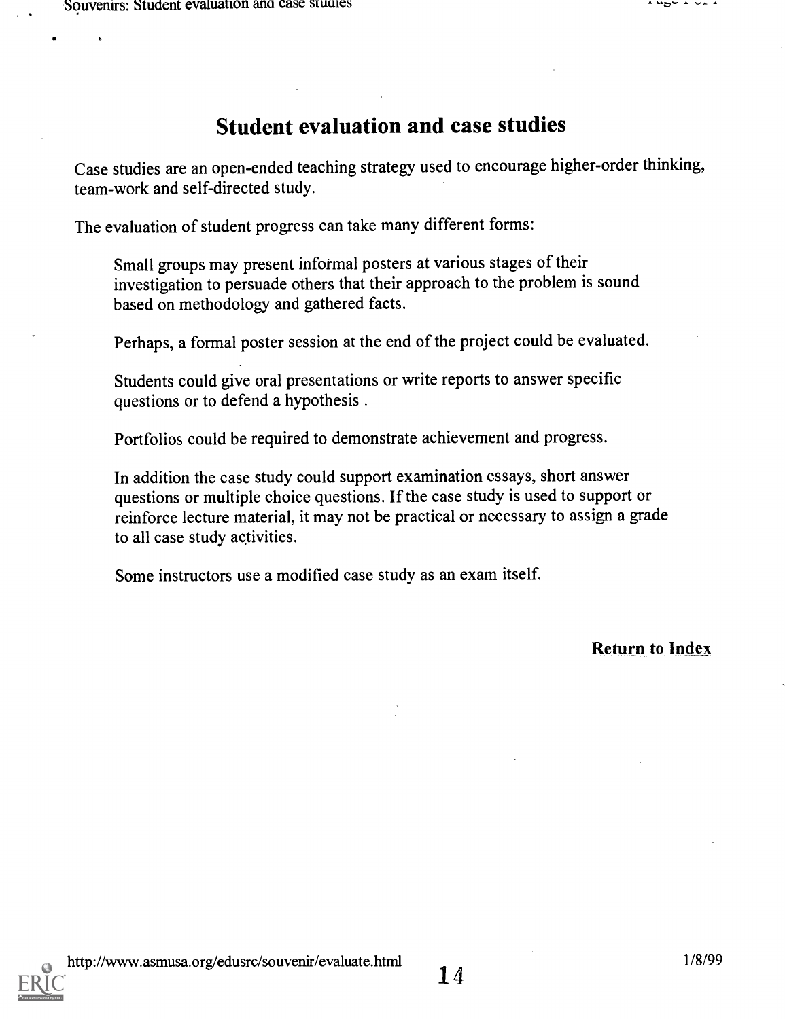# Student evaluation and case studies

Case studies are an open-ended teaching strategy used to encourage higher-order thinking, team-work and self-directed study.

The evaluation of student progress can take many different forms:

Small groups may present informal posters at various stages of their investigation to persuade others that their approach to the problem is sound based on methodology and gathered facts.

Perhaps, a formal poster session at the end of the project could be evaluated.

Students could give oral presentations or write reports to answer specific questions or to defend a hypothesis .

Portfolios could be required to demonstrate achievement and progress.

In addition the case study could support examination essays, short answer questions or multiple choice questions. If the case study is used to support or reinforce lecture material, it may not be practical or necessary to assign a grade to all case study activities.

Some instructors use a modified case study as an exam itself.

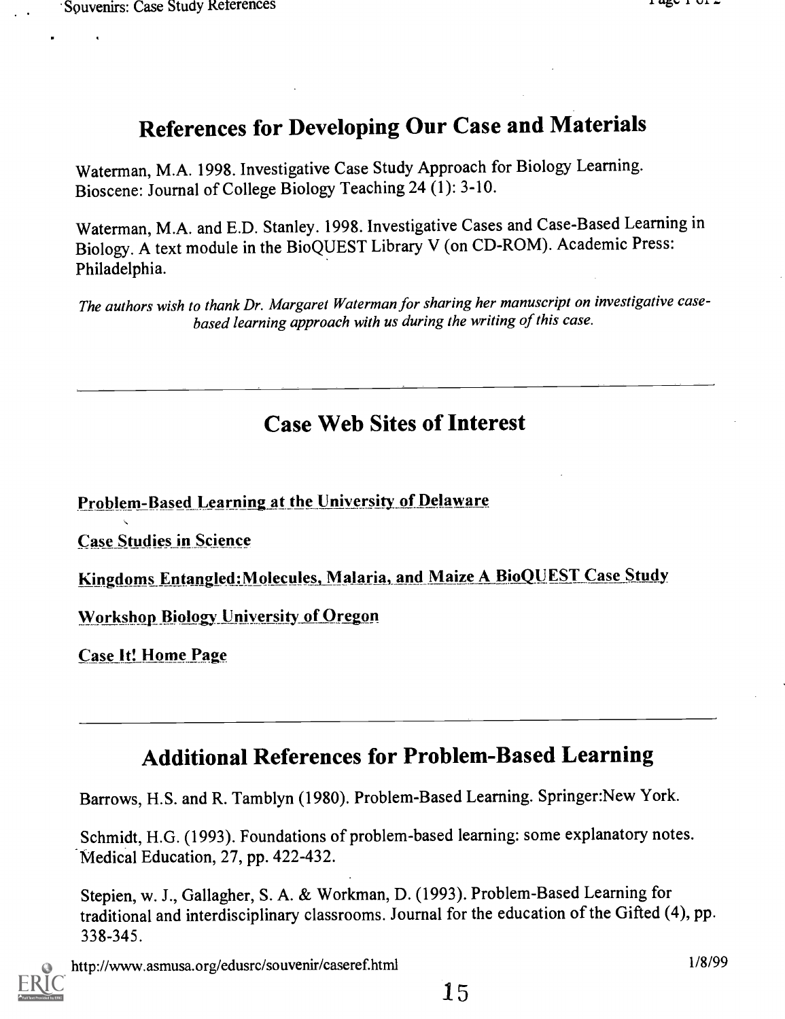# References for Developing Our Case and Materials

Waterman, M.A. 1998. Investigative Case Study Approach for Biology Learning. Bioscene: Journal of College Biology Teaching 24 (1): 3-10.

Waterman, M.A. and E.D. Stanley. 1998. Investigative Cases and Case-Based Learning in Biology. A text module in the BioQUEST Library V (on CD-ROM). Academic Press: Philadelphia.

The authors wish to thank Dr. Margaret Waterman for sharing her manuscript on investigative casebased learning approach with us during the writing of this case.

# Case Web Sites of Interest

Problem-Based Learning at the University of Delaware

Case Studies in Science

Kingdoms Entangled: Molecules, Malaria, and Maize A BioQUEST Case Study

Workshop Biology University of Oregon

Case It! Home Page

# Additional References for Problem-Based Learning

Barrows, H.S. and R. Tamblyn (1980). Problem-Based Learning. Springer:New York.

Schmidt, H.G. (1993). Foundations of problem-based learning: some explanatory notes. Medical Education, 27, pp. 422-432.

Stepien, w. J., Gallagher, S. A. & Workman, D. (1993). Problem-Based Learning for traditional and interdisciplinary classrooms. Journal for the education of the Gifted (4), pp. 338-345.

http://www.asmusa.org/edusrc/souvenir/caseref.html 1/8/99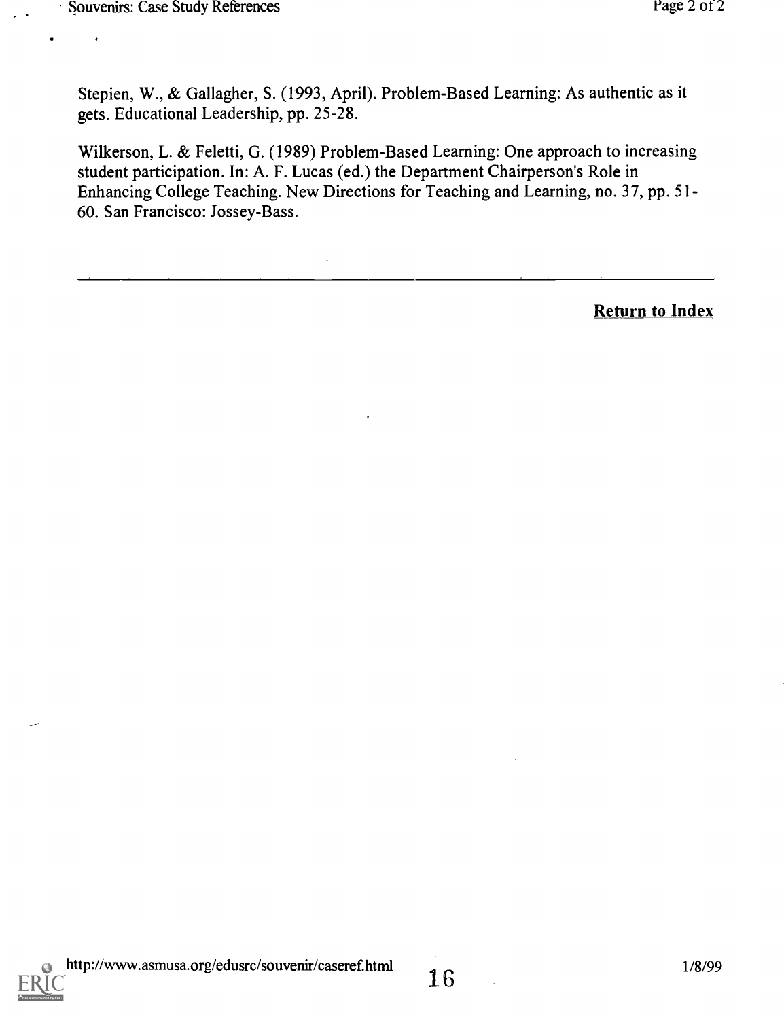$\ddot{\phantom{0}}$ 

Stepien, W., & Gallagher, S. (1993, April). Problem-Based Learning: As authentic as it gets. Educational Leadership, pp. 25-28.

Wilkerson, L. & Feletti, G. (1989) Problem-Based Learning: One approach to increasing student participation. In: A. F. Lucas (ed.) the Department Chairperson's Role in Enhancing College Teaching. New Directions for Teaching and Learning, no. 37, pp. 51- 60. San Francisco: Jossey-Bass.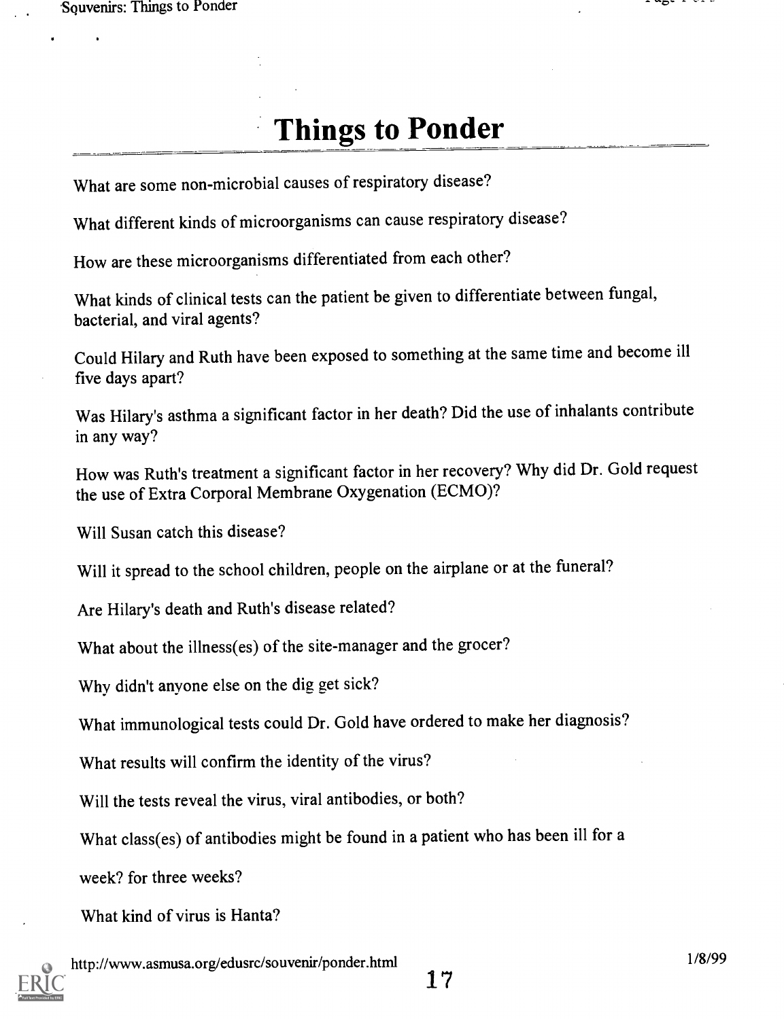# Things to Ponder

What are some non-microbial causes of respiratory disease?

What different kinds of microorganisms can cause respiratory disease?

How are these microorganisms differentiated from each other?

What kinds of clinical tests can the patient be given to differentiate between fungal, bacterial, and viral agents?

Could Hilary and Ruth have been exposed to something at the same time and become ill five days apart?

Was Hilary's asthma a significant factor in her death? Did the use of inhalants contribute in any way?

How was Ruth's treatment a significant factor in her recovery? Why did Dr. Gold request the use of Extra Corporal Membrane Oxygenation (ECM0)?

Will Susan catch this disease?

Will it spread to the school children, people on the airplane or at the funeral?

Are Hilary's death and Ruth's disease related?

What about the illness(es) of the site-manager and the grocer?

Why didn't anyone else on the dig get sick?

What immunological tests could Dr. Gold have ordered to make her diagnosis?

What results will confirm the identity of the virus?

Will the tests reveal the virus, viral antibodies, or both?

What class(es) of antibodies might be found in a patient who has been ill for a

week? for three weeks?

What kind of virus is Hanta?

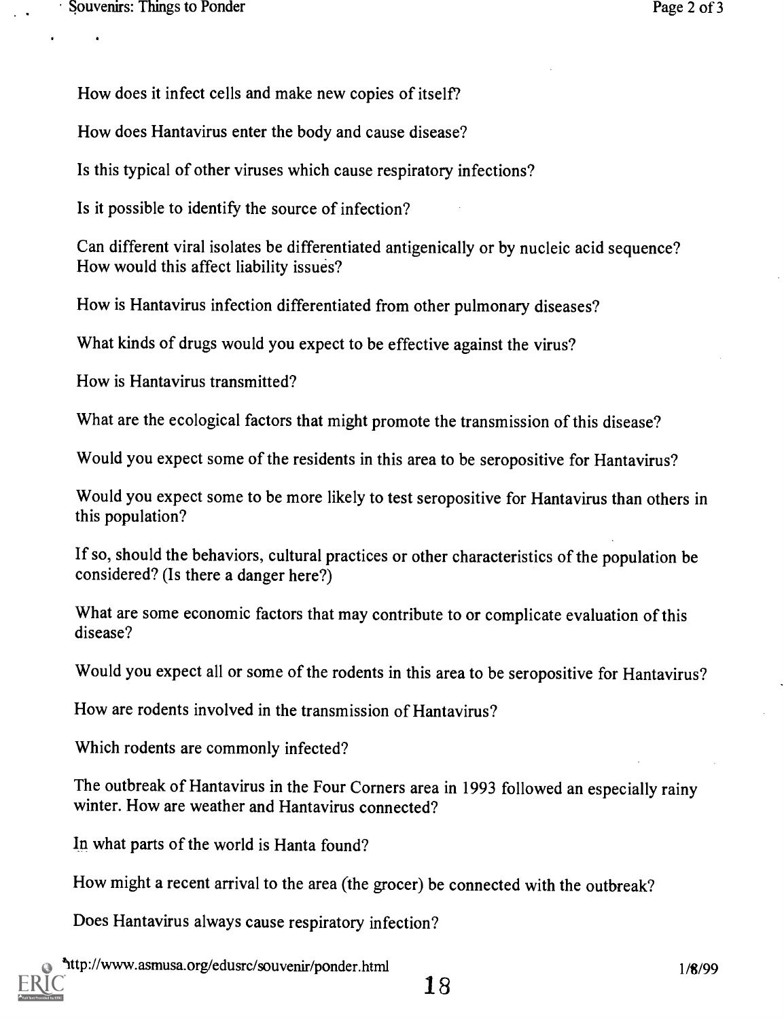How does it infect cells and make new copies of itself?

How does Hantavirus enter the body and cause disease?

Is this typical of other viruses which cause respiratory infections?

Is it possible to identify the source of infection?

Can different viral isolates be differentiated antigenically or by nucleic acid sequence? How would this affect liability issues?

How is Hantavirus infection differentiated from other pulmonary diseases?

What kinds of drugs would you expect to be effective against the virus?

How is Hantavirus transmitted?

What are the ecological factors that might promote the transmission of this disease?

Would you expect some of the residents in this area to be seropositive for Hantavirus?

Would you expect some to be more likely to test seropositive for Hantavirus than others in this population?

If so, should the behaviors, cultural practices or other characteristics of the population be considered? (Is there a danger here?)

What are some economic factors that may contribute to or complicate evaluation of this disease?

Would you expect all or some of the rodents in this area to be seropositive for Hantavirus?

How are rodents involved in the transmission of Hantavirus?

Which rodents are commonly infected?

The outbreak of Hantavirus in the Four Corners area in 1993 followed an especially rainy winter. How are weather and Hantavirus connected?

In what parts of the world is Hanta found?

How might a recent arrival to the area (the grocer) be connected with the outbreak?

Does Hantavirus always cause respiratory infection?

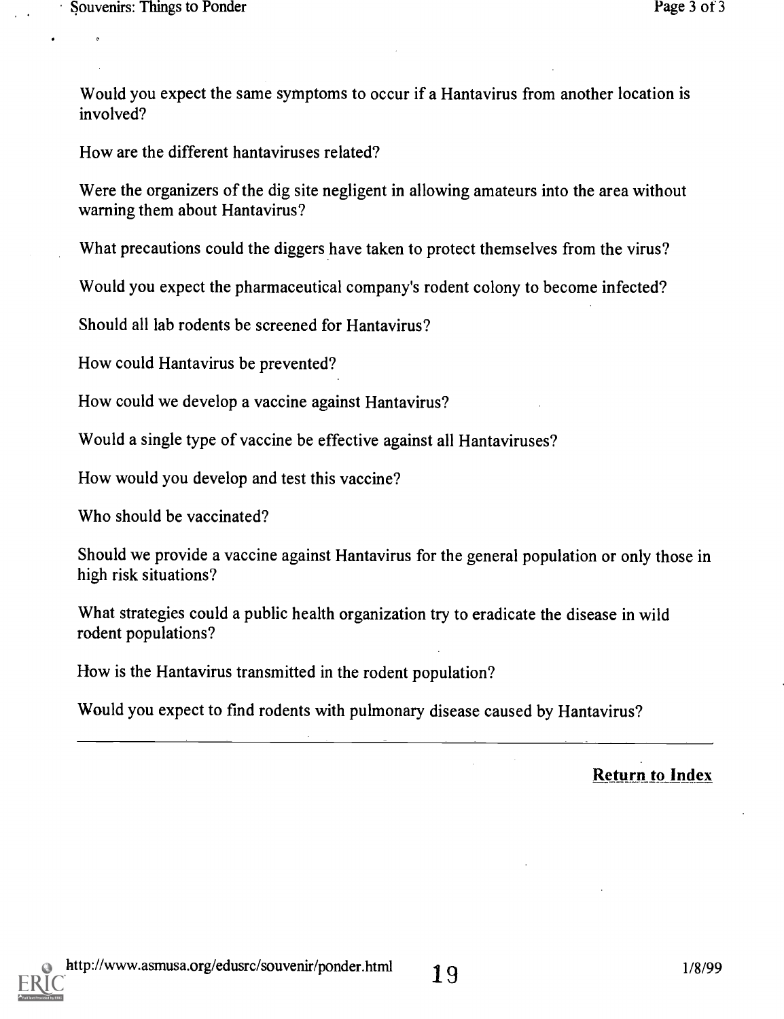Would you expect the same symptoms to occur if a Hantavirus from another location is involved?

How are the different hantaviruses related?

Were the organizers of the dig site negligent in allowing amateurs into the area without warning them about Hantavirus?

What precautions could the diggers have taken to protect themselves from the virus?

Would you expect the pharmaceutical company's rodent colony to become infected?

Should all lab rodents be screened for Hantavirus?

How could Hantavirus be prevented?

How could we develop a vaccine against Hantavirus?

Would a single type of vaccine be effective against all Hantaviruses?

How would you develop and test this vaccine?

Who should be vaccinated?

Should we provide a vaccine against Hantavirus for the general population or only those in high risk situations?

What strategies could a public health organization try to eradicate the disease in wild rodent populations?

How is the Hantavirus transmitted in the rodent population?

Would you expect to find rodents with pulmonary disease caused by Hantavirus?

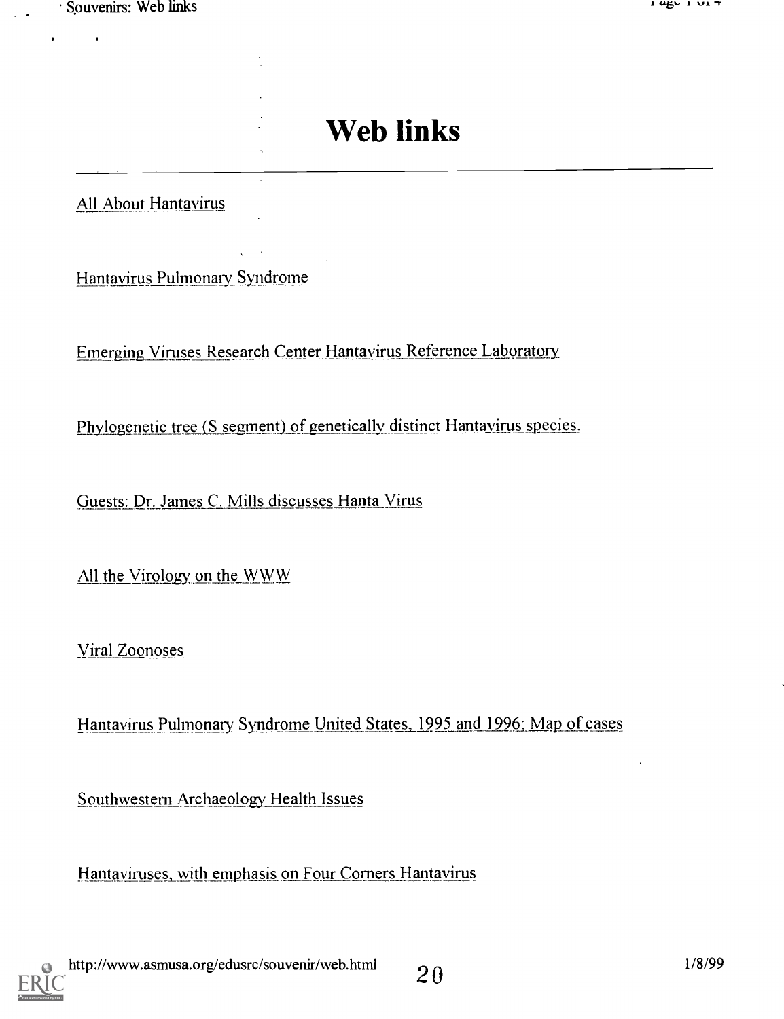# Web links

All About Hantavirus

Hantavirus Pulmonary Syndrome

Emerging Viruses Research Center Hantavirus Reference Laboratory

Phylogenetic tree (S segment) of genetically distinct Hantavirus species.

Guests: Dr. James C. Mills discusses Hanta Virus

All the Virology on the WWW

Viral Zoonoses

Hantavirus. Pulmonary Syndrome United States. 1995 and 1996; Map of cases

Southwestern Archaeology Health Issues

Hantaviruses, with emphasis on Four Corners Hantavirus



http://www.asmusa.org/edusrc/souvenir/web.html  $20$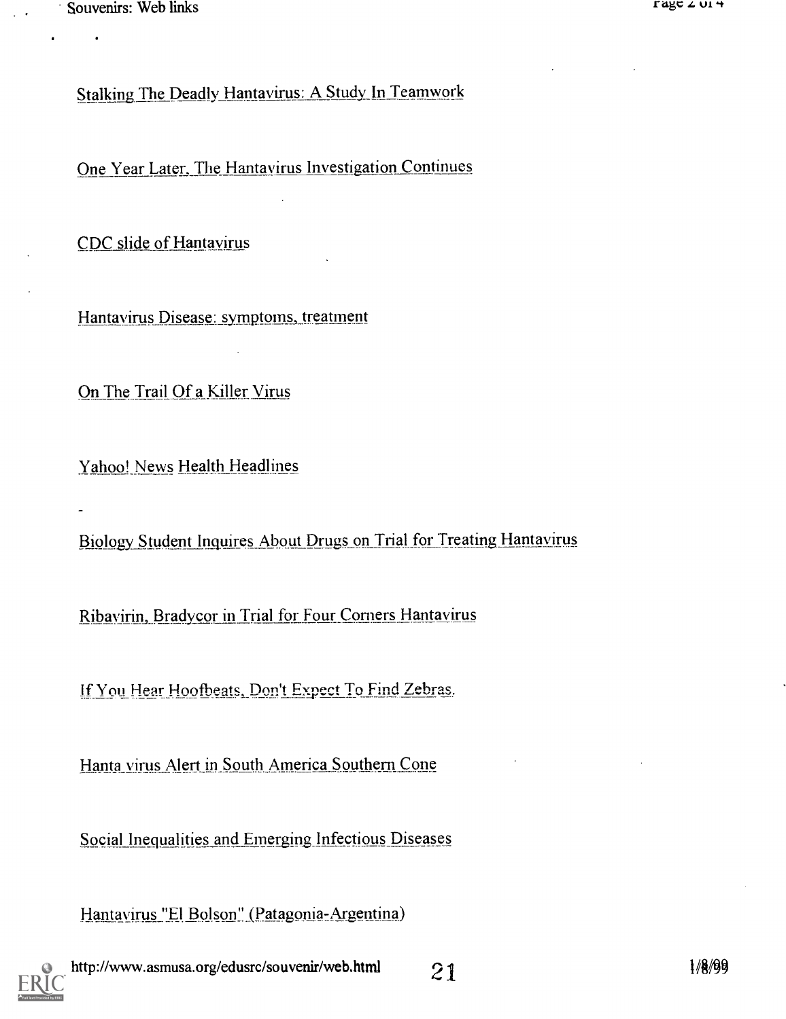Stalking The Deadly Hantavirus: A Study In Teamwork

One Year Later. The Hantavirus Investigation Continues

CDC slide of Hantavirus

Hantavirus Disease: symptoms, treatment

On The Trail Of a Killer Virus

Yahoo! News Health Headlines

Biology Student Inquires About Drugs on Trial for Treating Hantavirus

Ribavirin, Bradycor in Trial for Four Corners Hantavirus

If You Hear Hoofbeats, Don't Expect To Find Zebras.

Hanta virus Alert in South America Southern Cone

Social Inequalities and Emerging Infectious Diseases

Hantavirus "El Bolson" (Patagonia-Argentina)



http://www.asmusa.org/edusrc/souvenir/web.html 21

 $1/8/99$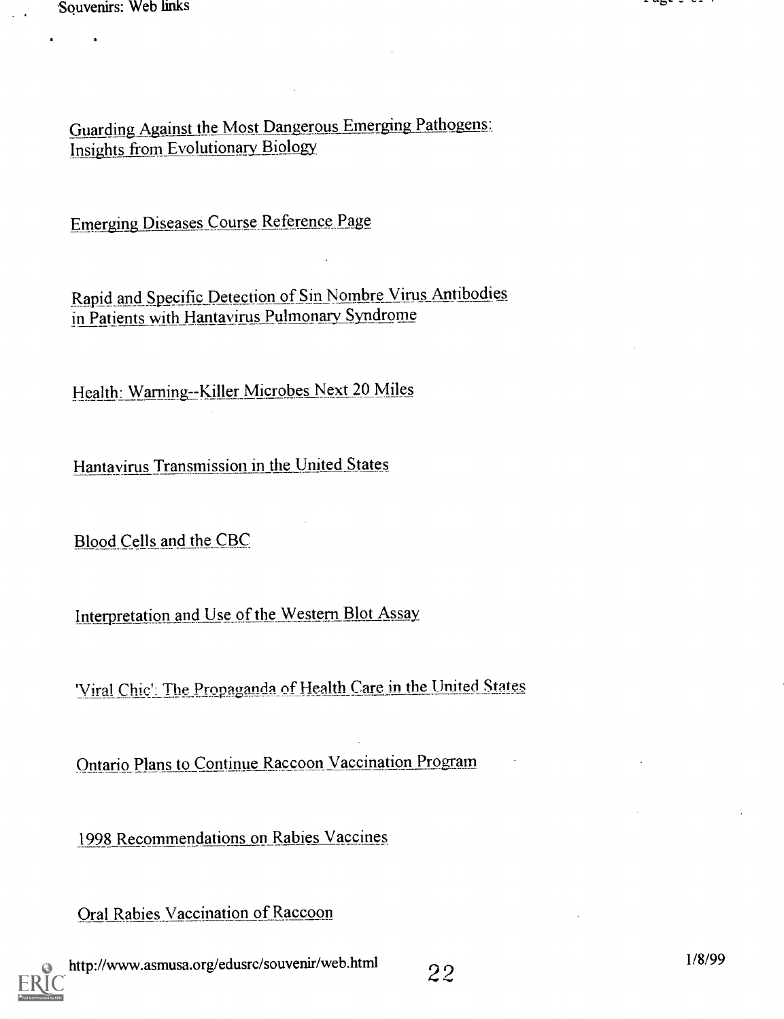Guarding Against the Most Dangerous Emerging Pathogens: Insights from Evolutionary Biology

Emerging Diseases Course Reference Page

Rapid and Specific Detection of Sin Nornbre Virus Antibodies in Patients with Hantavirus Pulmonary Syndrome

Health: Warning--Killer Microbes Next 20 Miles

Hantavirus Transmission in the United States

Blood Cells and the CBC

Interpretation and Use of the Western Blot Assay

'Viral Chic': The Propaganda of Health Care in the United States

Ontario Plans to Continue Raccoon Vaccination Program

1998 Recommendations on Rabies Vaccines

Oral Rabies Vaccination of Raccoon



http://www.asmusa.org/edusrc/souvenir/web.html 22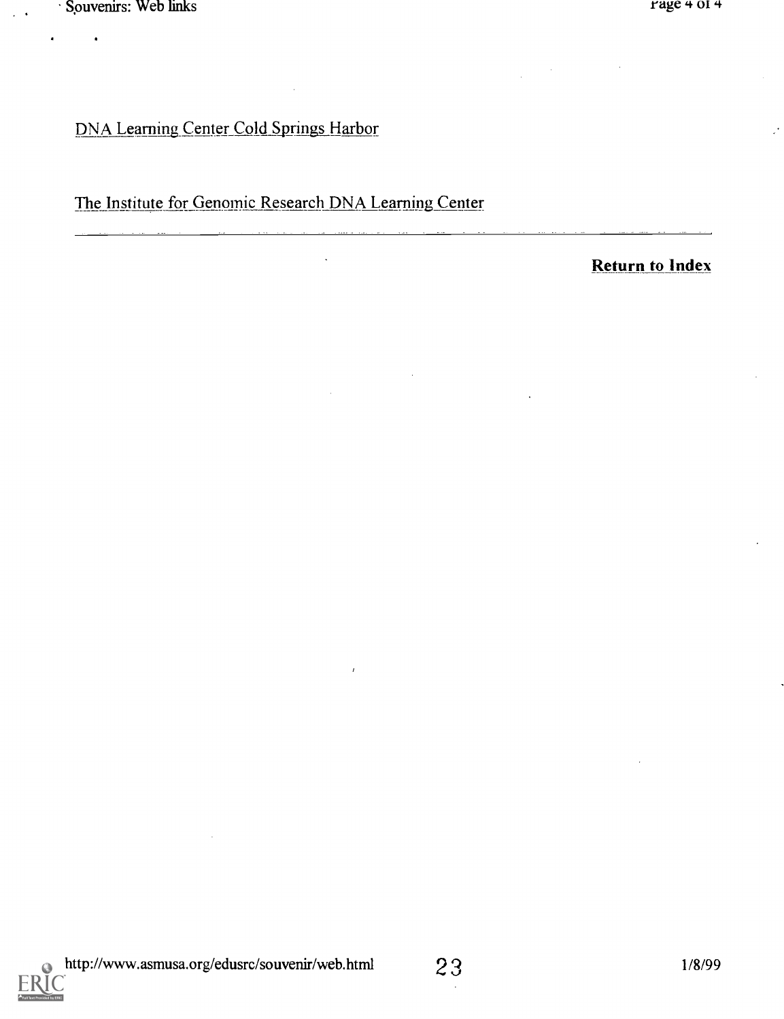# DNA Learning Center Cold Springs Harbor

The Institute for Genomic Research DNA Learning Center

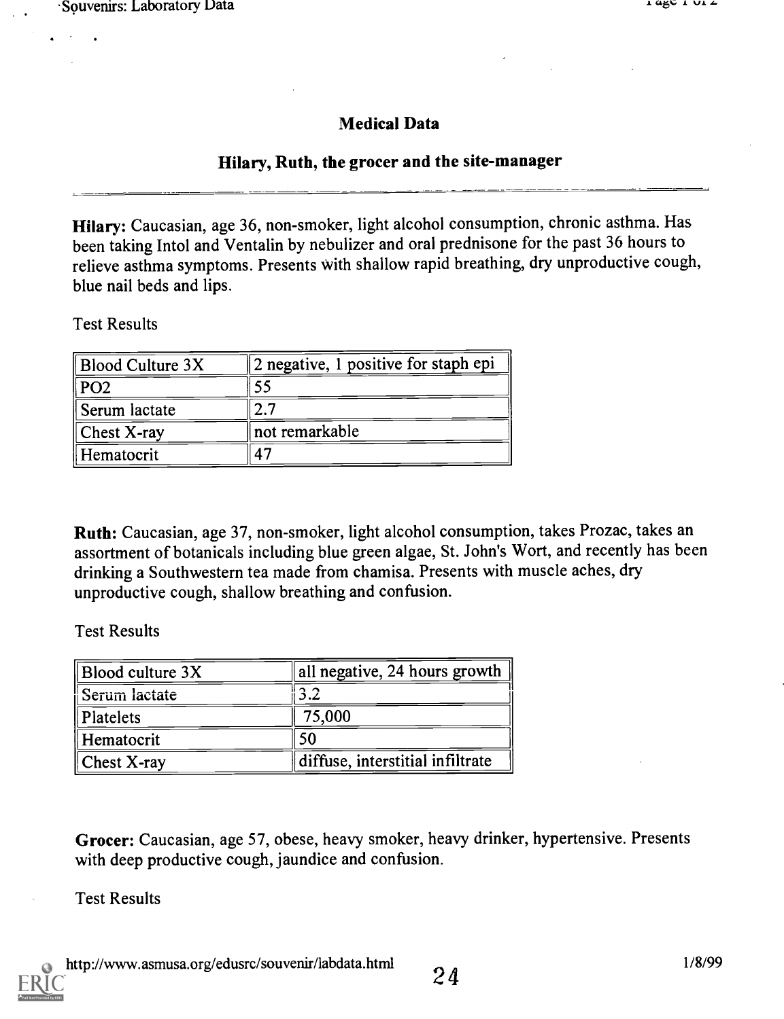### Medical Data

# Hilary, Ruth, the grocer and the site-manager

Hilary: Caucasian, age 36, non-smoker, light alcohol consumption, chronic asthma. Has been taking Intol and Ventalin by nebulizer and oral prednisone for the past 36 hours to relieve asthma symptoms. Presents With shallow rapid breathing, dry unproductive cough, blue nail beds and lips.

Test Results

| $\parallel$ Blood Culture 3X | 2 negative, 1 positive for staph epi |
|------------------------------|--------------------------------------|
|                              |                                      |
| Serum lactate                |                                      |
| $\vert$ Chest X-ray          | not remarkable                       |
| Hematocrit                   |                                      |

Ruth: Caucasian, age 37, non-smoker, light alcohol consumption, takes Prozac, takes an assortment of botanicals including blue green algae, St. John's Wort, and recently has been drinking a Southwestern tea made from chamisa. Presents with muscle aches, dry unproductive cough, shallow breathing and confusion.

Test Results

| $\parallel$ Blood culture 3X | all negative, 24 hours growth    |
|------------------------------|----------------------------------|
| Serum lactate                |                                  |
| Platelets                    | 75,000                           |
| Hematocrit                   | 50                               |
| $\mathsf{\ }$ Chest X-ray    | diffuse, interstitial infiltrate |

Grocer: Caucasian, age 57, obese, heavy smoker, heavy drinker, hypertensive. Presents with deep productive cough, jaundice and confusion.

Test Results



http://www.asmusa.org/edusrc/souvenir/labdata.html 2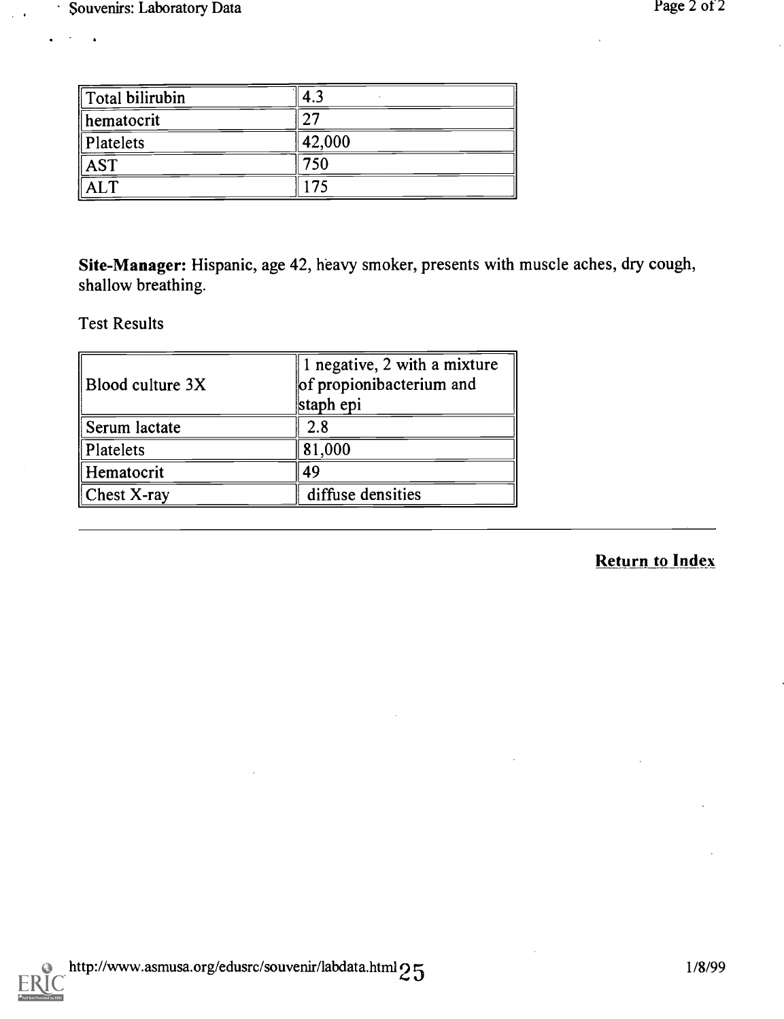| Total bilirubin            |        |
|----------------------------|--------|
| hematocrit                 |        |
| $\sqrt{\text{Platelets}}$  | 42,000 |
| $\mathbin{\mathbb{I}}$ AST |        |
|                            |        |

Site-Manager: Hispanic, age 42, heavy smoker, presents with muscle aches, dry cough, shallow breathing.

Test Results

| $\parallel$ Blood culture 3X | 1 negative, 2 with a mixture<br>of propionibacterium and |
|------------------------------|----------------------------------------------------------|
|                              | staph epi                                                |
| Serum lactate                | 2.8                                                      |
| Platelets                    | 81,000                                                   |
| Hematocrit                   | 49                                                       |
| $\mathbf{\Vert}$ Chest X-ray | diffuse densities                                        |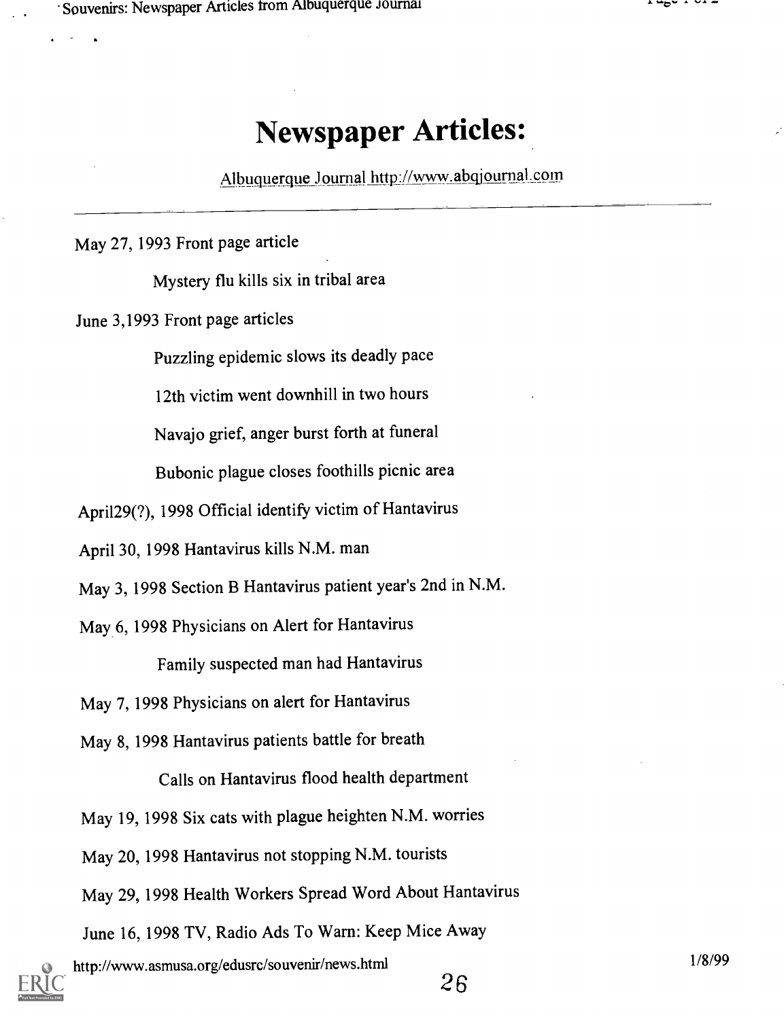# Newspaper Articles:

Albuquerque Journal http://www.abqjournal.corn

May 27, 1993 Front page article

Mystery flu kills six in tribal area

June 3,1993 Front page articles

Puzzling epidemic slows its deadly pace

12th victim went downhill in two hours

Navajo grief, anger burst forth at funeral

Bubonic plague closes foothills picnic area

Apri129(?), 1998 Official identify victim of Hantavirus

April 30, 1998 Hantavirus kills N.M. man

May 3, 1998 Section B Hantavirus patient year's 2nd in N.M.

May 6, 1998 Physicians on Alert for Hantavirus

Family suspected man had Hantavirus

May 7, 1998 Physicians on alert for Hantavirus

May 8, 1998 Hantavirus patients battle for breath

Calls on Hantavirus flood health department

May 19, 1998 Six cats with plague heighten N.M. worries

May 20, 1998 Hantavirus not stopping N.M. tourists

May 29, 1998 Health Workers Spread Word About Hantavirus

June 16, 1998 TV, Radio Ads To Warn: Keep Mice Away

http://www.asmusa.org/edusrc/souvenir/news.html  $26$ 

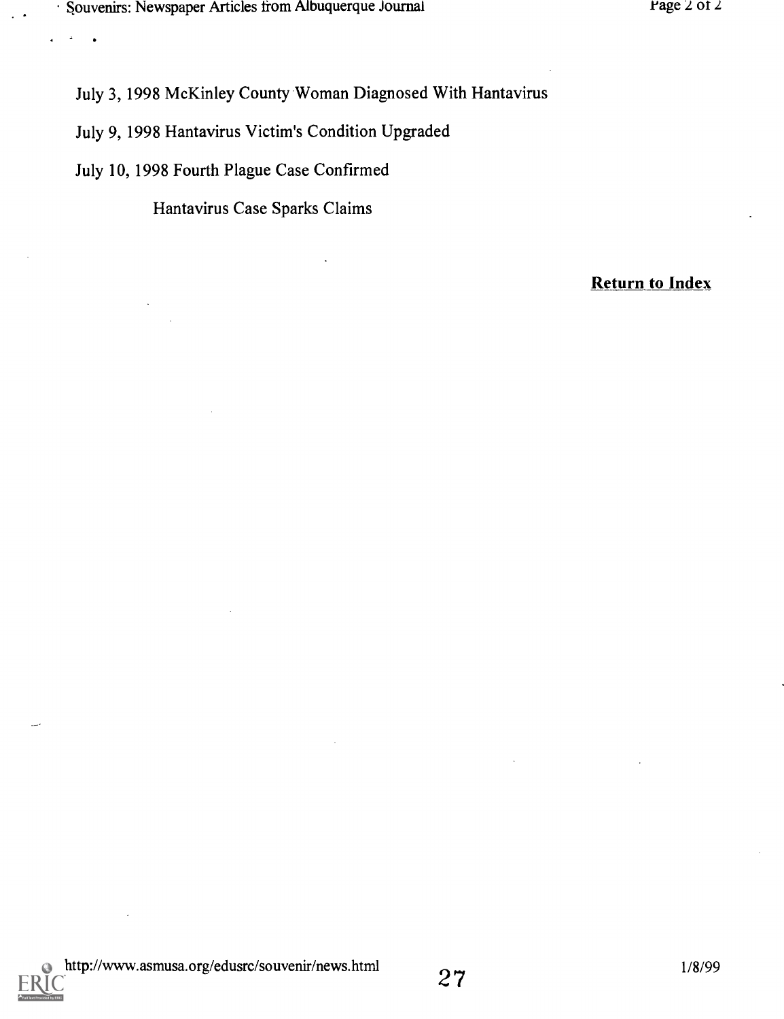July 3, 1998 McKinley County Woman Diagnosed With Hantavirus

July 9, 1998 Hantavirus Victim's Condition Upgraded

July 10, 1998 Fourth Plague Case Confirmed

Hantavirus Case Sparks Claims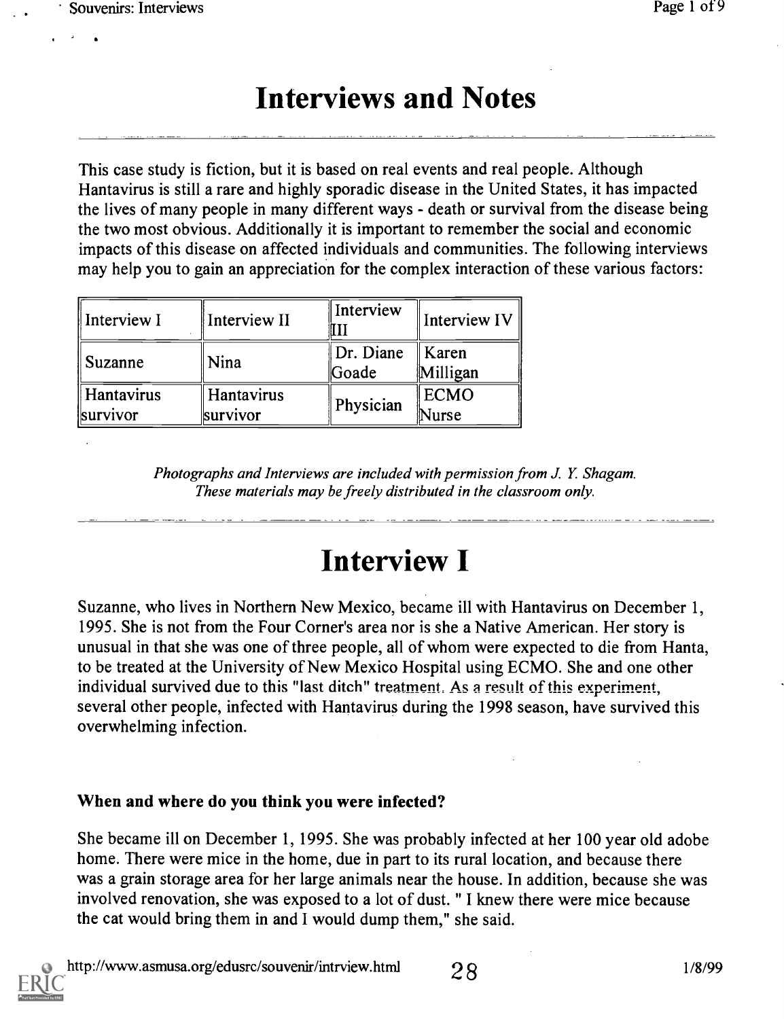# Interviews and Notes

This case study is fiction, but it is based on real events and real people. Although Hantavirus is still a rare and highly sporadic disease in the United States, it has impacted the lives of many people in many different ways - death or survival from the disease being the two most obvious. Additionally it is important to remember the social and economic impacts of this disease on affected individuals and communities. The following interviews may help you to gain an appreciation for the complex interaction of these various factors:

| Interview I            | Interview II           | Interview           | Interview IV                  |
|------------------------|------------------------|---------------------|-------------------------------|
| Suzanne                | Nina                   | Dr. Diane<br>∥Goade | $\parallel$ Karen<br>Milligan |
| Hantavirus<br>survivor | Hantavirus<br>survivor | Physician           | ECMO<br>Nurse                 |

Photographs and Interviews are included with permission from J. Y. Shagam. These materials may be freely distributed in the classroom only.

# Interview I

Suzanne, who lives in Northern New Mexico, became ill with Hantavirus on December 1, 1995. She is not from the Four Corner's area nor is she a Native American. Her story is unusual in that she was one of three people, all of whom were expected to die from Hanta, to be treated at the University of New Mexico Hospital using ECMO. She and one other individual survived due to this "last ditch" treatment. AS a result of this experiment, several other people, infected with Hantavirus during the 1998 season, have survived this overwhelming infection.

### When and where do you think you were infected?

She became ill on December 1, 1995. She was probably infected at her 100 year old adobe home. There were mice in the home, due in part to its rural location, and because there was a grain storage area for her large animals near the house. In addition, because she was involved renovation, she was exposed to a lot of dust. " I knew there were mice because the cat would bring them in and I would dump them," she said.

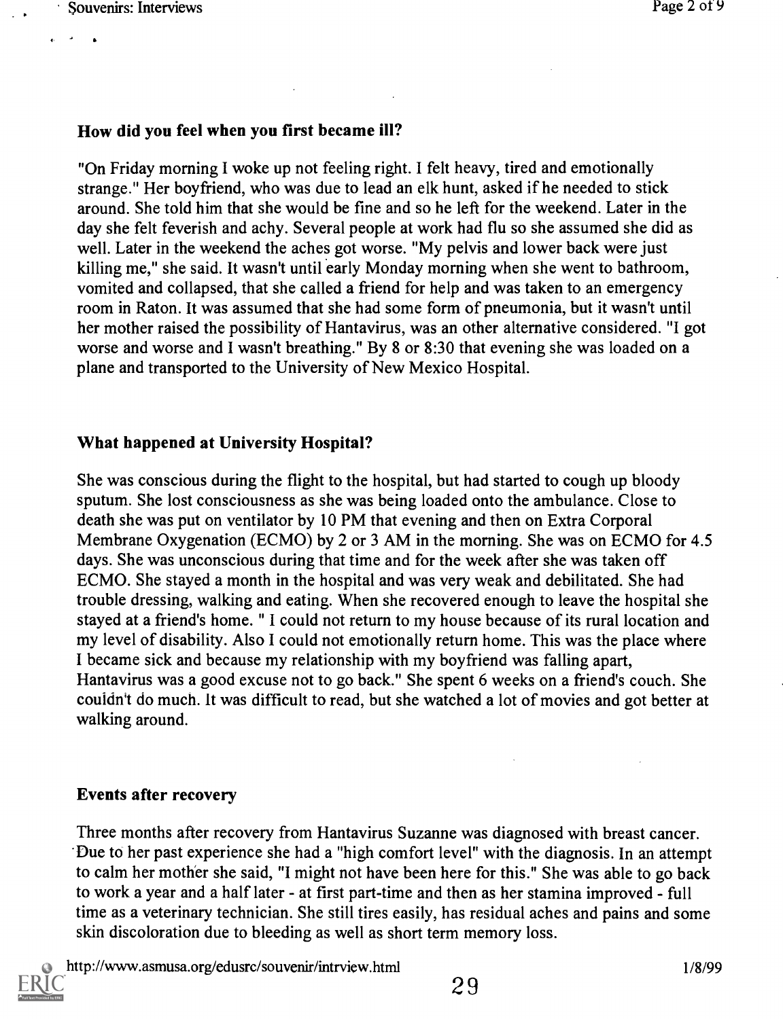### How did you feel when you first became ill?

"On Friday morning I woke up not feeling right. I felt heavy, tired and emotionally strange." Her boyfriend, who was due to lead an elk hunt, asked if he needed to stick around. She told him that she would be fine and so he left for the weekend. Later in the day she felt feverish and achy. Several people at work had flu so she assumed she did as well. Later in the weekend the aches got worse. "My pelvis and lower back were just killing me," she said. It wasn't until early Monday morning when she went to bathroom, vomited and collapsed, that she called a friend for help and was taken to an emergency room in Raton. It was assumed that she had some form of pneumonia, but it wasn't until her mother raised the possibility of Hantavirus, was an other alternative considered. "I got worse and worse and I wasn't breathing." By 8 or 8:30 that evening she was loaded on a plane and transported to the University of New Mexico Hospital.

### What happened at University Hospital?

She was conscious during the flight to the hospital, but had started to cough up bloody sputum. She lost consciousness as she was being loaded onto the ambulance. Close to death she was put on ventilator by 10 PM that evening and then on Extra Corporal Membrane Oxygenation (ECMO) by 2 or 3 AM in the morning. She was on ECMO for 4.5 days. She was unconscious during that time and for the week after she was taken off ECMO. She stayed a month in the hospital and was very weak and debilitated. She had trouble dressing, walking and eating. When she recovered enough to leave the hospital she stayed at a friend's home. " I could not return to my house because of its rural location and my level of disability. Also I could not emotionally return home. This was the place where I became sick and because my relationship with my boyfriend was falling apart, Hantavirus was a good excuse not to go back." She spent 6 weeks on a friend's couch. She couldn't do much. It was difficult to read, but she watched a lot of movies and got better at walking around.

### Events after recovery

Three months after recovery from Hantavirus Suzanne was diagnosed with breast cancer. 'Due to her past experience she had a "high comfort level" with the diagnosis. In an attempt to calm her mother she said, "I might not have been here for this." She was able to go back to work a year and a half later - at first part-time and then as her stamina improved - full time as a veterinary technician. She still tires easily, has residual aches and pains and some skin discoloration due to bleeding as well as short term memory loss.

http://www.asmusa.org/edusrc/souvenir/intrview.html 1/8/99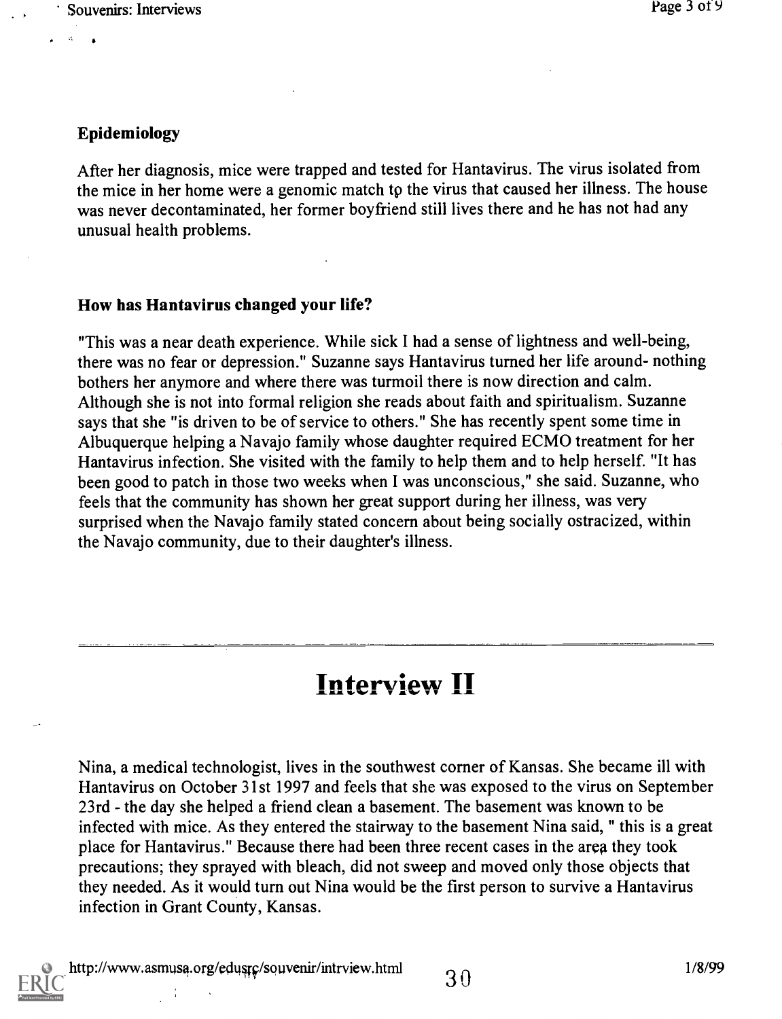#### Epidemiology

After her diagnosis, mice were trapped and tested for Hantavirus. The virus isolated from the mice in her home were a genomic match to the virus that caused her illness. The house was never decontaminated, her former boyfriend still lives there and he has not had any unusual health problems.

#### How has Hantavirus changed your life?

"This was a near death experience. While sick I had a sense of lightness and well-being, there was no fear or depression." Suzanne says Hantavirus turned her life around- nothing bothers her anymore and where there was turmoil there is now direction and calm. Although she is not into formal religion she reads about faith and spiritualism. Suzanne says that she "is driven to be of service to others." She has recently spent some time in Albuquerque helping a Navajo family whose daughter required ECMO treatment for her Hantavirus infection. She visited with the family to help them and to help herself. "It has been good to patch in those two weeks when I was unconscious," she said. Suzanne, who feels that the community has shown her great support during her illness, was very surprised when the Navajo family stated concern about being socially ostracized, within the Navajo community, due to their daughter's illness.

# **Interview II**

Nina, a medical technologist, lives in the southwest corner of Kansas. She became ill with Hantavirus on October 31st 1997 and feels that she was exposed to the virus on September 23rd - the day she helped a friend clean a basement. The basement was known to be infected with mice. As they entered the stairway to the basement Nina said, " this is a great place for Hantavirus." Because there had been three recent cases in the area they took precautions; they sprayed with bleach, did not sweep and moved only those objects that they needed. As it would turn out Nina would be the first person to survive a Hantavirus infection in Grant County, Kansas.



http://www.asmusa.org/edusrc/souvenir/intrview.html 3 0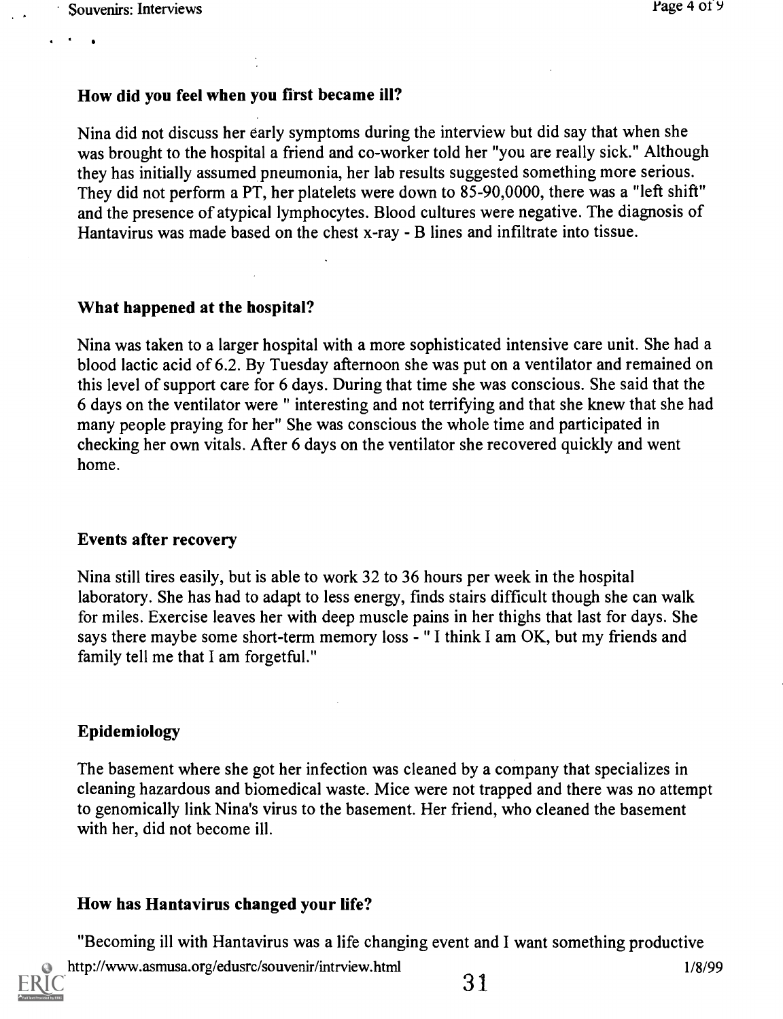#### How did you feel when you first became ill?

Nina did not discuss her early symptoms during the interview but did say that when she was brought to the hospital a friend and co-worker told her "you are really sick." Although they has initially assumed pneumonia, her lab results suggested something more serious. They did not perform a PT, her platelets were down to 85-90,0000, there was a "left shift" and the presence of atypical lymphocytes. Blood cultures were negative. The diagnosis of Hantavirus was made based on the chest x-ray - B lines and infiltrate into tissue.

#### What happened at the hospital?

Nina was taken to a larger hospital with a more sophisticated intensive care unit. She had a blood lactic acid of 6.2. By Tuesday afternoon she was put on a ventilator and remained on this level of support care for 6 days. During that time she was conscious. She said that the 6 days on the ventilator were " interesting and not terrifying and that she knew that she had many people praying for her" She was conscious the whole time and participated in checking her own vitals. After 6 days on the ventilator she recovered quickly and went home.

#### Events after recovery

Nina still tires easily, but is able to work 32 to 36 hours per week in the hospital laboratory. She has had to adapt to less energy, finds stairs difficult though she can walk for miles. Exercise leaves her with deep muscle pains in her thighs that last for days. She says there maybe some short-term memory loss - " I think I am OK, but my friends and family tell me that I am forgetful."

#### Epidemiology

The basement where she got her infection was cleaned by a company that specializes in cleaning hazardous and biomedical waste. Mice were not trapped and there was no attempt to genomically link Nina's virus to the basement. Her friend, who cleaned the basement with her, did not become ill.

#### How has Hantavirus changed your life?

"Becoming ill with Hantavirus was a life changing event and I want something productive http://www.asmusa.org/edusrc/souvenir/intrview.html 1/8/99

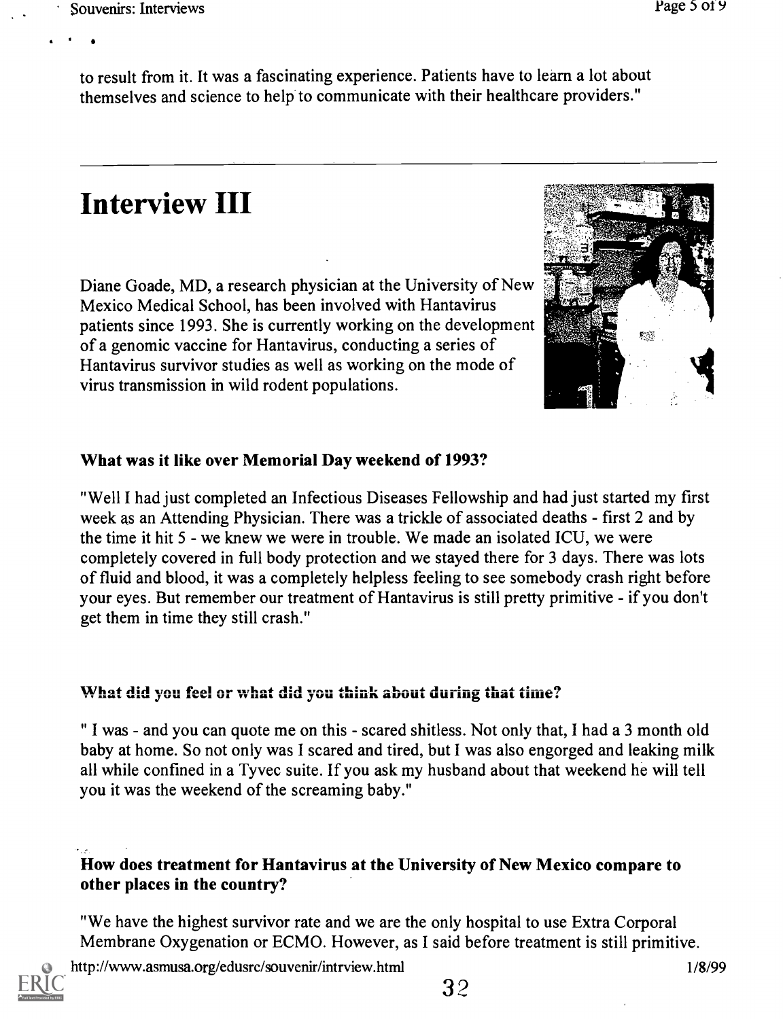to result from it. It was a fascinating experience. Patients have to learn a lot about themselves and science to help to communicate with their healthcare providers."

# Interview III

Diane Goade, MD, a research physician at the University of New ' Mexico Medical School, has been involved with Hantavirus patients since 1993. She is currently working on the development of a genomic vaccine for Hantavirus, conducting a series of Hantavirus survivor studies as well as working on the mode of virus transmission in wild rodent populations.



### What was it like over Memorial Day weekend of 1993?

"Well I had just completed an Infectious Diseases Fellowship and had just started my first week as an Attending Physician. There was a trickle of associated deaths - first 2 and by the time it hit 5 - we knew we were in trouble. We made an isolated ICU, we were completely covered in full body protection and we stayed there for 3 days. There was lots of fluid and blood, it was a completely helpless feeling to see somebody crash right before your eyes. But remember our treatment of Hantavirus is still pretty primitive - if you don't get them in time they still crash."

### What did you feel or what did you think about during that time?

" I was - and you can quote me on this - scared shitless. Not only that, I had a 3 month old baby at home. So not only was I scared and tired, but I was also engorged and leaking milk all while confined in a Tyvec suite. If you ask my husband about that weekend he will tell you it was the weekend of the screaming baby."

### How does treatment for Hantavirus at the University of New Mexico compare to other places in the country?

"We have the highest survivor rate and we are the only hospital to use Extra Corporal Membrane Oxygenation or ECMO. However, as I said before treatment is still primitive.

http://www.asmusa.org/edusrc/souvenir/intrview.html 1/8/99

32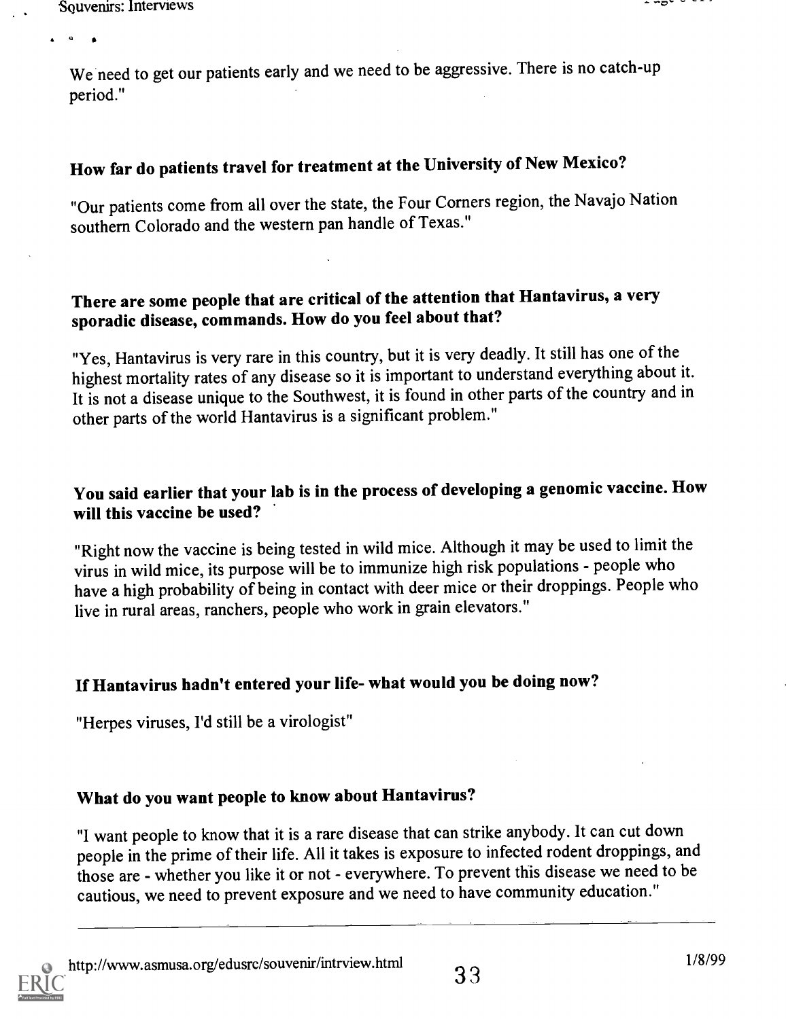We need to get our patients early and we need to be aggressive. There is no catch-up period."

# How far do patients travel for treatment at the University of New Mexico?

"Our patients come from all over the state, the Four Corners region, the Navajo Nation southern Colorado and the western pan handle of Texas."

# There are some people that are critical of the attention that Hantavirus, a very sporadic disease, commands. How do you feel about that?

"Yes, Hantavirus is very rare in this country, but it is very deadly. It still has one of the highest mortality rates of any disease so it is important to understand everything about it. It is not a disease unique to the Southwest, it is found in other parts of the country and in other parts of the world Hantavirus is a significant problem."

# You said earlier that your lab is in the process of developing a genomic vaccine. How will this vaccine be used?

"Right now the vaccine is being tested in wild mice. Although it may be used to limit the virus in wild mice, its purpose will be to immunize high risk populations - people who have a high probability of being in contact with deer mice or their droppings. People who live in rural areas, ranchers, people who work in grain elevators."

# If Hantavirus hadn't entered your life- what would you be doing now?

"Herpes viruses, I'd still be a virologist"

# What do you want people to know about Hantavirus?

"I want people to know that it is a rare disease that can strike anybody. It can cut down people in the prime of their life. All it takes is exposure to infected rodent droppings, and those are - whether you like it or not - everywhere. To prevent this disease we need to be cautious, we need to prevent exposure and we need to have community education."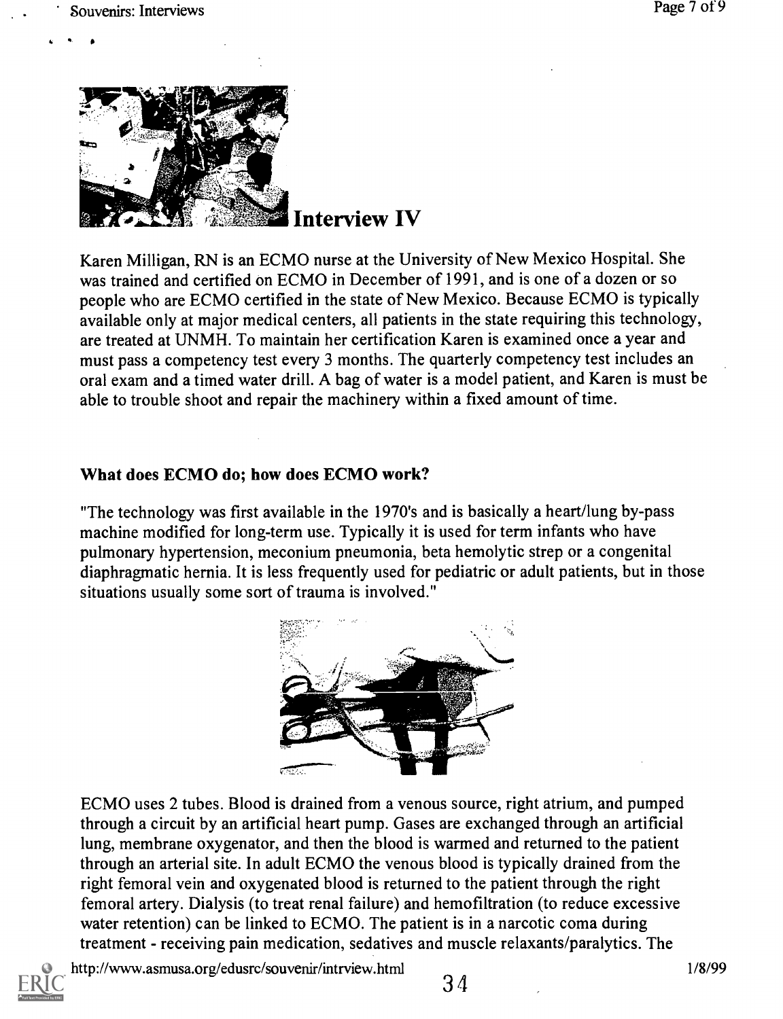

Karen Milligan, RN is an ECMO nurse at the University of New Mexico Hospital. She was trained and certified on ECMO in December of 1991, and is one of a dozen or so people who are ECMO certified in the state of New Mexico. Because ECMO is typically available only at major medical centers, all patients in the state requiring this technology, are treated at UNMH. To maintain her certification Karen is examined once a year and must pass a competency test every 3 months. The quarterly competency test includes an oral exam and a timed water drill. A bag of water is a model patient, and Karen is must be able to trouble shoot and repair the machinery within a fixed amount of time.

### What does ECMO do; how does ECMO work?

"The technology was first available in the 1970's and is basically a heart/lung by-pass machine modified for long-term use. Typically it is used for term infants who have pulmonary hypertension, meconium pneumonia, beta hemolytic strep or a congenital diaphragmatic hernia. It is less frequently used for pediatric or adult patients, but in those situations usually some sort of trauma is involved."



ECMO uses 2 tubes. Blood is drained from a venous source, right atrium, and pumped through a circuit by an artificial heart pump. Gases are exchanged through an artificial lung, membrane oxygenator, and then the blood is warmed and returned to the patient through an arterial site. In adult ECMO the venous blood is typically drained from the right femoral vein and oxygenated blood is returned to the patient through the right femoral artery. Dialysis (to treat renal failure) and hemofiltration (to reduce excessive water retention) can be linked to ECMO. The patient is in a narcotic coma during treatment - receiving pain medication, sedatives and muscle relaxants/paralytics. The



http://www.asmusa.org/edusrc/souvenir/intrview.html 1/8/99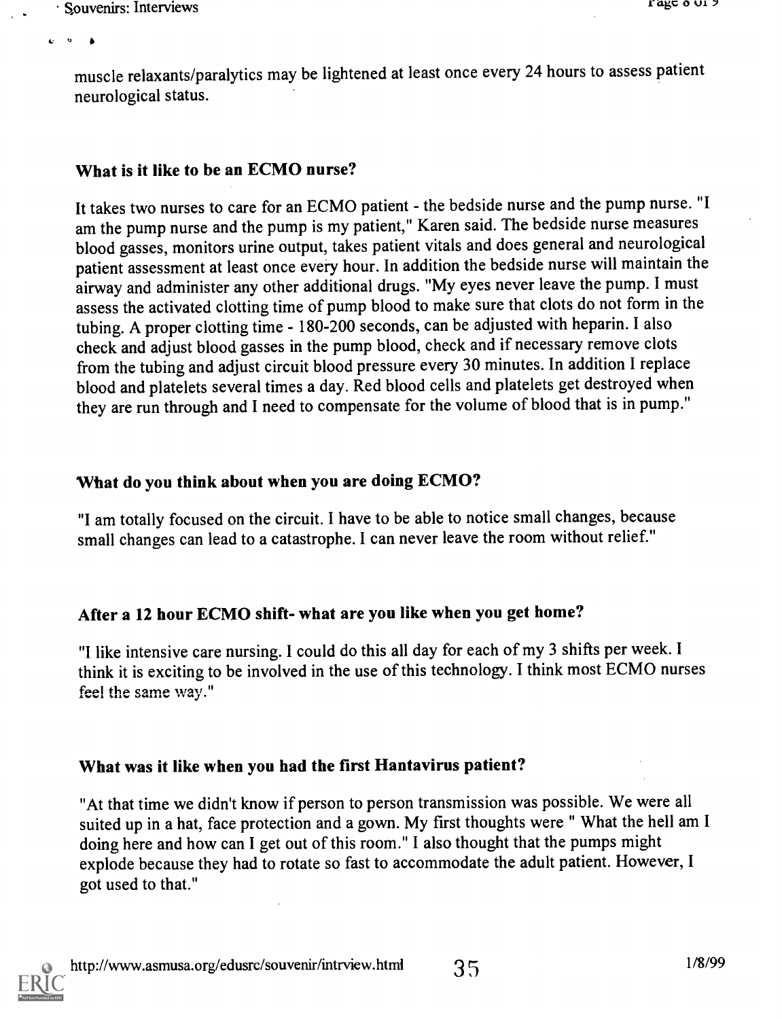$\alpha$  $\bullet$ 

muscle relaxants/paralytics may be lightened at least once every 24 hours to assess patient neurological status.

### What is it like to be an ECMO nurse?

It takes two nurses to care for an ECMO patient - the bedside nurse and the pump nurse. "I am the pump nurse and the pump is my patient," Karen said. The bedside nurse measures blood gasses, monitors urine output, takes patient vitals and does general and neurological patient assessment at least once every hour. In addition the bedside nurse will maintain the airway and administer any other additional drugs. "My eyes never leave the pump. I must assess the activated clotting time of pump blood to make sure that clots do not form in the tubing. A proper clotting time - 180-200 seconds, can be adjusted with heparin. I also check and adjust blood gasses in the pump blood, check and if necessary remove clots from the tubing and adjust circuit blood pressure every 30 minutes. In addition I replace blood and platelets several times a day. Red blood cells and platelets get destroyed when they are run through and I need to compensate for the volume of blood that is in pump."

### What do you think about when you are doing ECMO?

"I am totally focused on the circuit. I have to be able to notice small changes, because small changes can lead to a catastrophe. I can never leave the room without relief."

### After a 12 hour ECMO shift- what are you like when you get home?

"I like intensive care nursing. I could do this all day for each of my 3 shifts per week. I think it is exciting to be involved in the use of this technology. I think most ECMO nurses feel the same way."

### What was it like when you had the first Hantavirus patient?

"At that time we didn't know if person to person transmission was possible. We were all suited up in a hat, face protection and a gown. My first thoughts were " What the hell am I doing here and how can I get out of this room." I also thought that the pumps might explode because they had to rotate so fast to accommodate the adult patient. However, I got used to that."

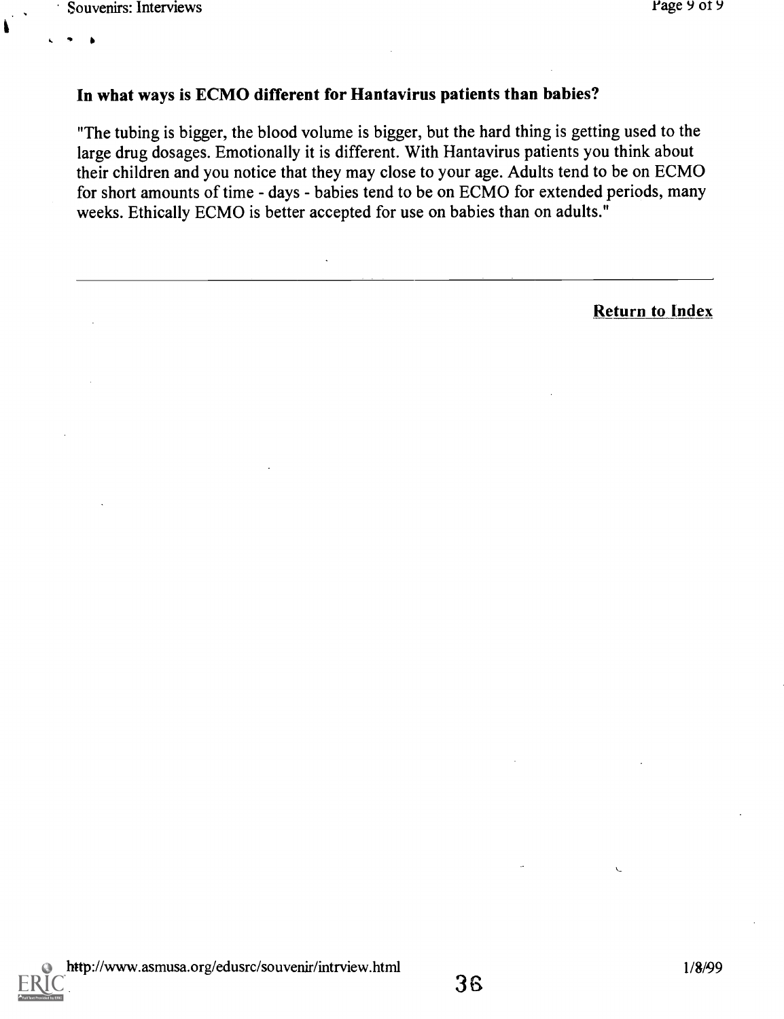### In what ways is ECMO different for Hantavirus patients than babies?

"The tubing is bigger, the blood volume is bigger, but the hard thing is getting used to the large drug dosages. Emotionally it is different. With Hantavirus patients you think about their children and you notice that they may close to your age. Adults tend to be on ECMO for short amounts of time - days - babies tend to be on ECMO for extended periods, many weeks. Ethically ECMO is better accepted for use on babies than on adults."

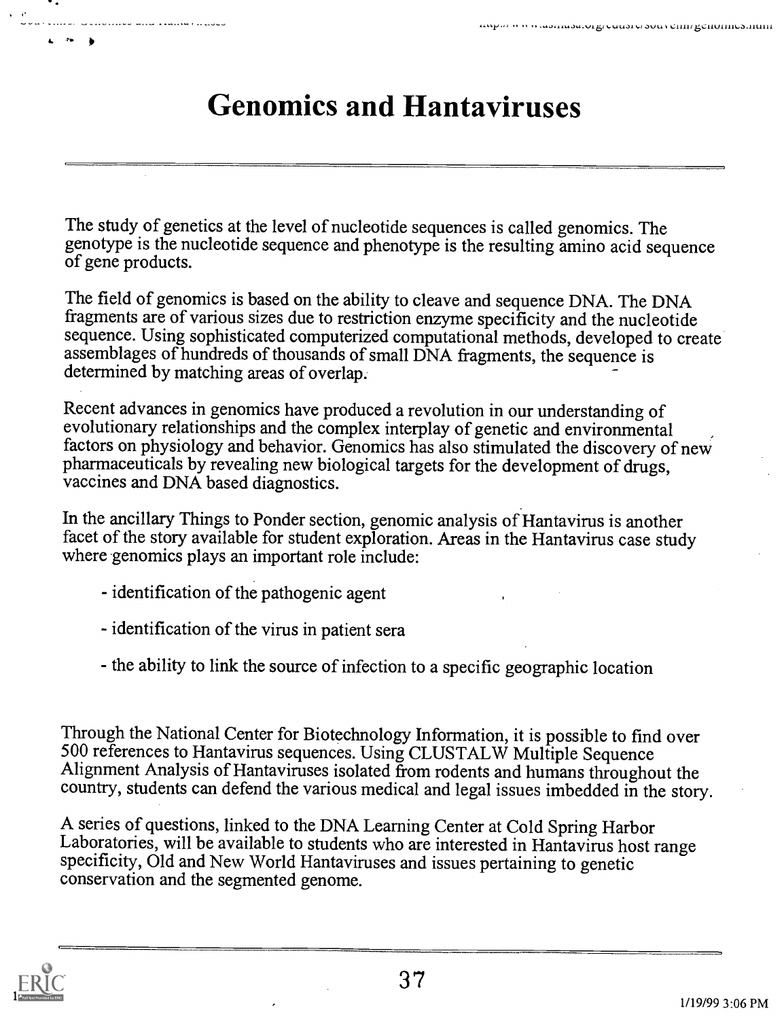# Genomics and Hantaviruses

The study of genetics at the level of nucleotide sequences is called genomics. The genotype is the nucleotide sequence and phenotype is the resulting amino acid sequence of gene products.

The field of genomics is based on the ability to cleave and sequence DNA. The DNA fragments are of various sizes due to restriction enzyme specificity and the nucleotide sequence. Using sophisticated computerized computational methods, developed to create assemblages of hundreds of thousands of small DNA fragments, the sequence is determined by matching areas of overlap.

Recent advances in genomics have produced a revolution in our understanding of evolutionary relationships and the complex interplay of genetic and environmental factors on physiology and behavior. Genomics has also stimulated the discovery of new pharmaceuticals by revealing new biological targets for the development of drugs, vaccines and DNA based diagnostics.

In the ancillary Things to Ponder section, genomic analysis of Hantavirus is another facet of the story available for student exploration. Areas in the Hantavirus case study where genomics plays an important role include:

- identification of the pathogenic agent
- identification of the virus in patient sera
- the ability to link the source of infection to a specific geographic location

Through the National Center for Biotechnology Information, it is possible to find over 500 references to Hantavirus sequences. Using CLUSTALW Multiple Sequence Alignment Analysis of Hantaviruses isolated from rodents and humans throughout the country, students can defend the various medical and legal issues imbedded in the story.

A series of questions, linked to the DNA Learning Center at Cold Spring Harbor Laboratories, will be available to students who are interested in Hantavirus host range specificity, Old and New World Hantaviruses and issues pertaining to genetic conservation and the segmented genome.

![](_page_36_Picture_11.jpeg)

 $\mathbf{r}_i = \mathbf{r}_i$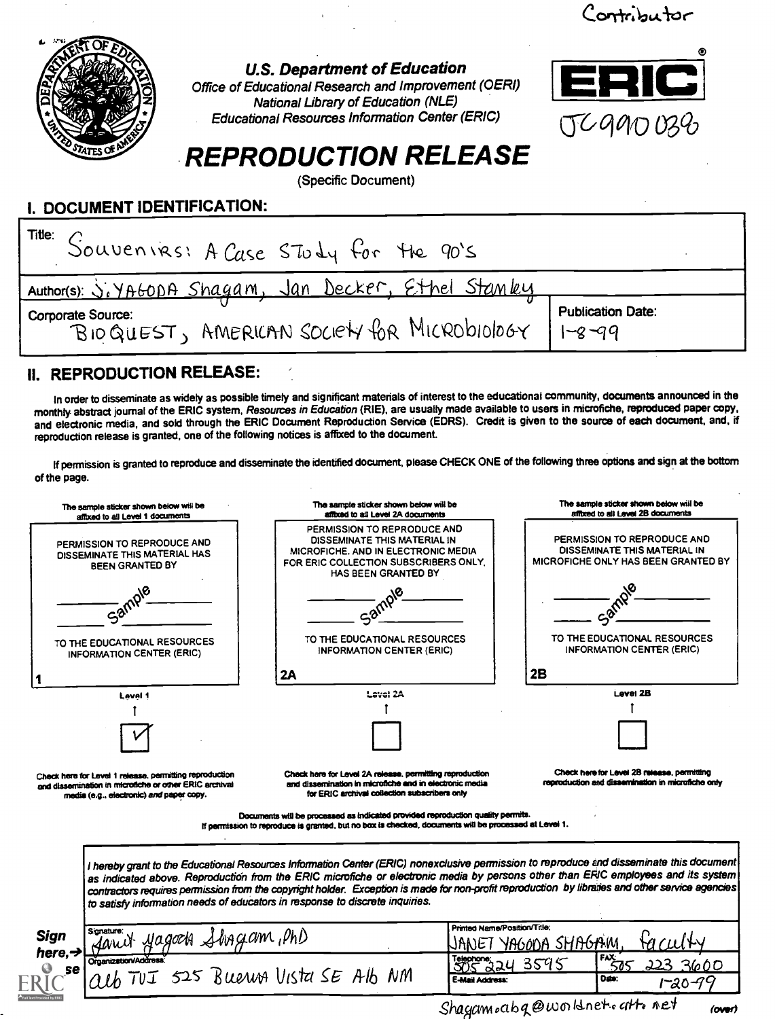.<br>Contributor

![](_page_37_Picture_1.jpeg)

#### U.S. Department of Education

Office of Educational Research and Improvement (0ERI) National Library of Education (NLE) Educational Resources Information Center (ERIC)

![](_page_37_Picture_4.jpeg)

# REPRODUCTION RELEASE

(Specific Document)

#### I. DOCUMENT IDENTIFICATION:

| Title: Souvenirs: A Case STuly for the 90's                             |                          |
|-------------------------------------------------------------------------|--------------------------|
| Author(s): S.YAGODA Shagam, Jan Decker, Ethel Stamley                   |                          |
| Corporate Source:<br>BIOQUEST, AMERICAN SOCIETY for MICRODIOLOGY 1-8-99 | <b>Publication Date:</b> |

#### II. REPRODUCTION RELEASE:

In order to disseminate as widely as possible timely and significant materials of interest to the educational community, documents announced in the monthly abstract journal of the ERIC system, Resources in Education (RIE), are usually made available to users in microfiche, reproduced paper copy, and electronic media, and sold through the ERIC Document Reproduction Service (EDRS). Credit is given to the source of each document, and, if reproduction release is granted, one of the following notices is affixed to the document.

If permission is granted to reproduce and disseminate the identified document, please CHECK ONE of the following three options and sign at the bottom of the page.

![](_page_37_Figure_12.jpeg)